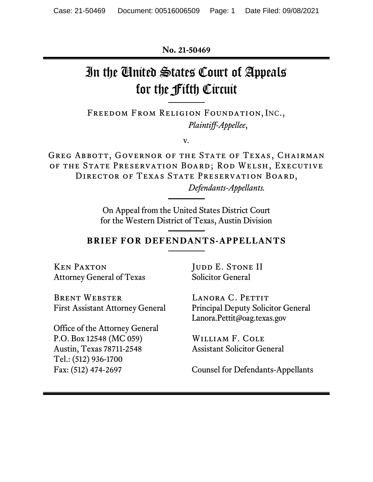**No. 21-50469**

# In the United States Court of Appeals for the Fifth Circuit

Freedom From Religion Foundation, INC., *Plaintiff-Appellee*,

v*.*

Greg Abbott, Governor of the State of Texas, Chairman of the State Preservation Board; Rod Welsh, Executive DIRECTOR OF TEXAS STATE PRESERVATION BOARD,

*Defendants-Appellants.*

On Appeal from the United States District Court for the Western District of Texas, Austin Division

### **BRIEF FOR DEFENDANTS-APPELLANTS**

Ken Paxton Attorney General of Texas JUDD E. STONE II Solicitor General

Brent Webster First Assistant Attorney General

Office of the Attorney General P.O. Box 12548 (MC 059) Austin, Texas 78711-2548 Tel.: (512) 936-1700 Fax: (512) 474-2697

LANORA C. PETTIT Principal Deputy Solicitor General Lanora.Pettit@oag.texas.gov

William F. Cole Assistant Solicitor General

Counsel for Defendants-Appellants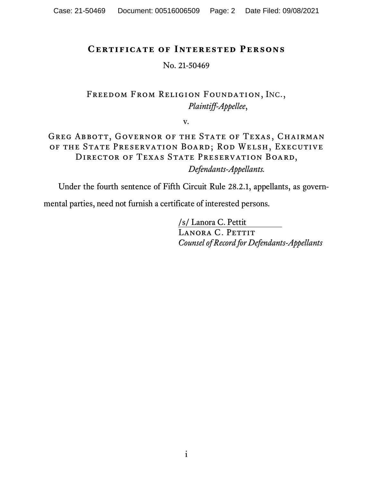## **Certificate of Interested Persons**

No. 21-50469

Freedom From Religion Foundation, INC., *Plaintiff-Appellee*,

v*.*

Greg Abbott, Governor of the State of Texas, Chairman of the State Preservation Board; Rod Welsh, Executive DIRECTOR OF TEXAS STATE PRESERVATION BOARD, *Defendants-Appellants.*

Under the fourth sentence of Fifth Circuit Rule 28.2.1, appellants, as govern-

mental parties, need not furnish a certificate of interested persons.

/s/ Lanora C. Pettit LANORA C. PETTIT *Counsel of Record for Defendants-Appellants*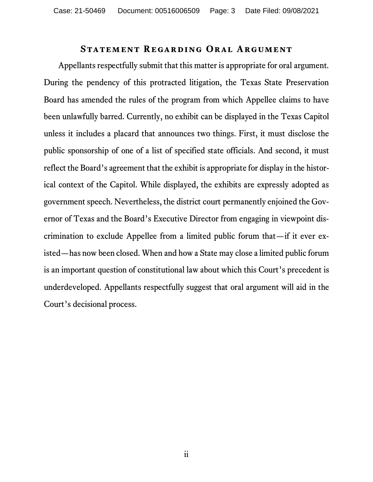#### **Statement Regarding Oral Argument**

Appellants respectfully submit that this matter is appropriate for oral argument. During the pendency of this protracted litigation, the Texas State Preservation Board has amended the rules of the program from which Appellee claims to have been unlawfully barred. Currently, no exhibit can be displayed in the Texas Capitol unless it includes a placard that announces two things. First, it must disclose the public sponsorship of one of a list of specified state officials. And second, it must reflect the Board's agreement that the exhibit is appropriate for display in the historical context of the Capitol. While displayed, the exhibits are expressly adopted as government speech. Nevertheless, the district court permanently enjoined the Governor of Texas and the Board's Executive Director from engaging in viewpoint discrimination to exclude Appellee from a limited public forum that—if it ever existed—has now been closed. When and how a State may close a limited public forum is an important question of constitutional law about which this Court's precedent is underdeveloped. Appellants respectfully suggest that oral argument will aid in the Court's decisional process.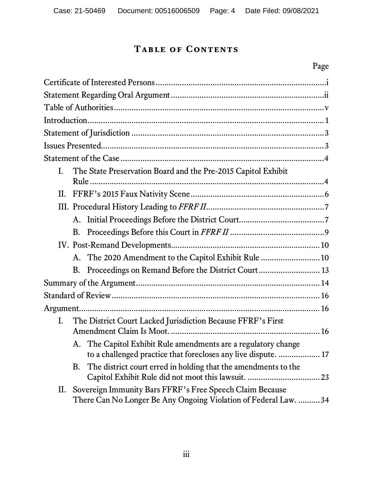# **Table of Contents**

# Page

| I. | The State Preservation Board and the Pre-2015 Capitol Exhibit                                                                    |
|----|----------------------------------------------------------------------------------------------------------------------------------|
|    |                                                                                                                                  |
| П. |                                                                                                                                  |
|    |                                                                                                                                  |
|    |                                                                                                                                  |
|    |                                                                                                                                  |
|    |                                                                                                                                  |
|    | A. The 2020 Amendment to the Capitol Exhibit Rule  10                                                                            |
|    | Proceedings on Remand Before the District Court 13<br>B.                                                                         |
|    |                                                                                                                                  |
|    |                                                                                                                                  |
|    |                                                                                                                                  |
| I. | The District Court Lacked Jurisdiction Because FFRF's First                                                                      |
|    |                                                                                                                                  |
|    | A. The Capitol Exhibit Rule amendments are a regulatory change<br>to a challenged practice that forecloses any live dispute.  17 |
|    | The district court erred in holding that the amendments to the<br>В.                                                             |
| П. | Sovereign Immunity Bars FFRF's Free Speech Claim Because                                                                         |
|    | There Can No Longer Be Any Ongoing Violation of Federal Law.  34                                                                 |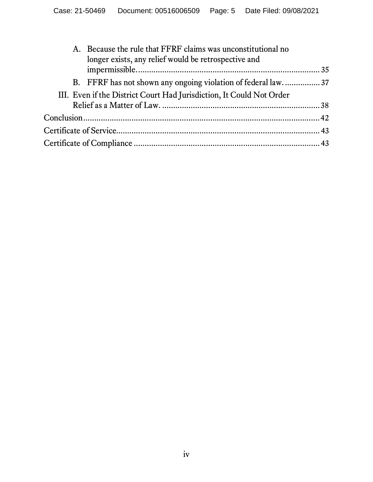| A. Because the rule that FFRF claims was unconstitutional no<br>longer exists, any relief would be retrospective and |  |
|----------------------------------------------------------------------------------------------------------------------|--|
|                                                                                                                      |  |
| B. FFRF has not shown any ongoing violation of federal law37                                                         |  |
| III. Even if the District Court Had Jurisdiction, It Could Not Order                                                 |  |
|                                                                                                                      |  |
|                                                                                                                      |  |
|                                                                                                                      |  |
|                                                                                                                      |  |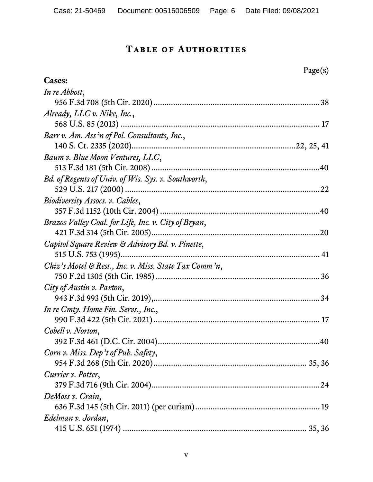# **Table of Authorities**

|                                                       | Page(s) |
|-------------------------------------------------------|---------|
| <b>Cases:</b>                                         |         |
| In re Abbott,                                         |         |
|                                                       |         |
| Already, $LLC$ v. Nike, Inc.,                         |         |
|                                                       |         |
| Barr v. Am. Ass'n of Pol. Consultants, Inc.,          |         |
|                                                       |         |
| Baum v. Blue Moon Ventures, LLC,                      |         |
|                                                       |         |
| Bd. of Regents of Univ. of Wis. Sys. v. Southworth,   |         |
|                                                       |         |
| Biodiversity Assocs. v. Cables,                       |         |
|                                                       |         |
| Brazos Valley Coal. for Life, Inc. v. City of Bryan,  |         |
|                                                       |         |
| Capitol Square Review & Advisory Bd. v. Pinette,      |         |
|                                                       |         |
| Chiz's Motel & Rest., Inc. v. Miss. State Tax Comm'n, |         |
|                                                       |         |
| City of Austin v. Paxton,                             |         |
|                                                       |         |
| In re Cmty. Home Fin. Servs., Inc.,                   |         |
|                                                       |         |
| Cobell v. Norton,                                     |         |
|                                                       |         |
| Corn v. Miss. Dep't of Pub. Safety,                   |         |
|                                                       |         |
| Currier v. Potter,                                    |         |
|                                                       |         |
| DeMoss v. Crain,                                      |         |
|                                                       |         |
| Edelman v. Jordan,                                    |         |
|                                                       |         |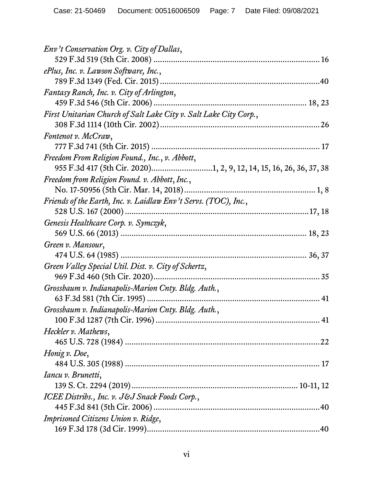| Env't Conservation Org. v. City of Dallas,                          |
|---------------------------------------------------------------------|
| ePlus, Inc. v. Lawson Software, Inc.,                               |
|                                                                     |
| Fantasy Ranch, Inc. v. City of Arlington,                           |
|                                                                     |
| First Unitarian Church of Salt Lake City v. Salt Lake City Corp.,   |
| Fontenot v. McCraw,                                                 |
|                                                                     |
| Freedom From Religion Found., Inc., v. Abbott,                      |
| 955 F.3d 417 (5th Cir. 2020)1, 2, 9, 12, 14, 15, 16, 26, 36, 37, 38 |
| Freedom from Religion Found. v. Abbott, Inc.,                       |
|                                                                     |
| Friends of the Earth, Inc. v. Laidlaw Env't Servs. (TOC), Inc.,     |
|                                                                     |
| Genesis Healthcare Corp. v. Symczyk,                                |
|                                                                     |
| Green v. Mansour,                                                   |
|                                                                     |
| Green Valley Special Util. Dist. v. City of Schertz,                |
|                                                                     |
| Grossbaum v. Indianapolis-Marion Cnty. Bldg. Auth.,                 |
|                                                                     |
| Grossbaum v. Indianapolis-Marion Cnty. Bldg. Auth.,                 |
| Heckler v. Mathews,                                                 |
|                                                                     |
| Honig v. Doe,                                                       |
|                                                                     |
| Iancu v. Brunetti,                                                  |
|                                                                     |
| ICEE Distribs., Inc. v. J&J Snack Foods Corp.,                      |
|                                                                     |
| Imprisoned Citizens Union v. Ridge,                                 |
|                                                                     |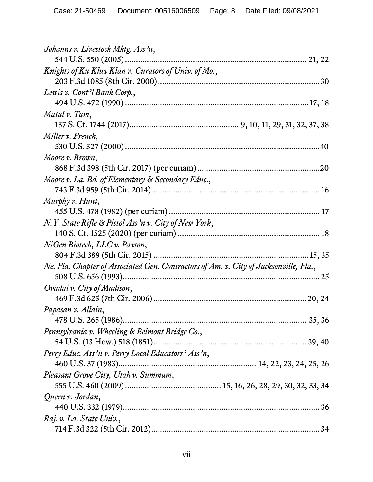| Johanns v. Livestock Mktg. Ass'n,                                                     |
|---------------------------------------------------------------------------------------|
|                                                                                       |
| Knights of Ku Klux Klan v. Curators of Univ. of Mo.,                                  |
|                                                                                       |
| Lewis v. Cont'l Bank Corp.,                                                           |
|                                                                                       |
| Matal v. Tam,                                                                         |
|                                                                                       |
| Miller v. French,                                                                     |
|                                                                                       |
| Moore v. Brown,                                                                       |
|                                                                                       |
| Moore v. La. Bd. of Elementary & Secondary Educ.,                                     |
|                                                                                       |
| Murphy v. Hunt,                                                                       |
|                                                                                       |
| N.Y. State Rifle & Pistol Ass'n v. City of New York,                                  |
|                                                                                       |
| NiGen Biotech, LLC v. Paxton,                                                         |
|                                                                                       |
| Ne. Fla. Chapter of Associated Gen. Contractors of Am. v. City of Jacksonville, Fla., |
|                                                                                       |
| Ovadal v. City of Madison,                                                            |
|                                                                                       |
| Papasan v. Allain,                                                                    |
|                                                                                       |
| Pennsylvania v. Wheeling & Belmont Bridge Co.,                                        |
|                                                                                       |
| Perry Educ. Ass'n v. Perry Local Educators' Ass'n,                                    |
|                                                                                       |
| Pleasant Grove City, Utah v. Summum,                                                  |
|                                                                                       |
| Quern v. Jordan,                                                                      |
|                                                                                       |
| Raj. v. La. State Univ.,                                                              |
|                                                                                       |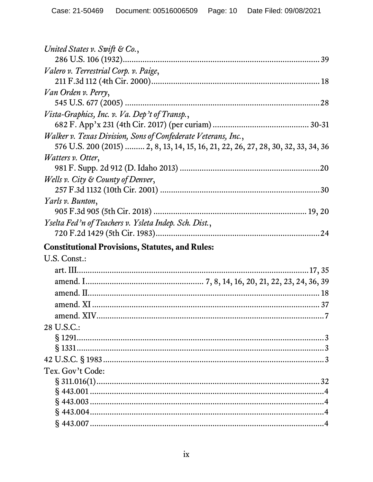| United States v. Swift & Co.,                                                     |  |
|-----------------------------------------------------------------------------------|--|
|                                                                                   |  |
| Valero v. Terrestrial Corp. v. Paige,                                             |  |
|                                                                                   |  |
| Van Orden v. Perry,                                                               |  |
|                                                                                   |  |
| Vista-Graphics, Inc. v. Va. Dep't of Transp.,                                     |  |
|                                                                                   |  |
| Walker v. Texas Division, Sons of Confederate Veterans, Inc.,                     |  |
| 576 U.S. 200 (2015)  2, 8, 13, 14, 15, 16, 21, 22, 26, 27, 28, 30, 32, 33, 34, 36 |  |
| <i>Watters v. Otter,</i>                                                          |  |
|                                                                                   |  |
| Wells v. City & County of Denver,                                                 |  |
|                                                                                   |  |
| Yarls v. Bunton,                                                                  |  |
|                                                                                   |  |
| Yselta Fed'n of Teachers v. Ysleta Indep. Sch. Dist.,                             |  |
|                                                                                   |  |
|                                                                                   |  |
|                                                                                   |  |
| <b>Constitutional Provisions, Statutes, and Rules:</b>                            |  |
| U.S. Const.:                                                                      |  |
|                                                                                   |  |
|                                                                                   |  |
|                                                                                   |  |
|                                                                                   |  |
|                                                                                   |  |
| 28 U.S.C.:                                                                        |  |
|                                                                                   |  |
|                                                                                   |  |
|                                                                                   |  |
| Tex. Gov't Code:                                                                  |  |
|                                                                                   |  |
|                                                                                   |  |
|                                                                                   |  |
|                                                                                   |  |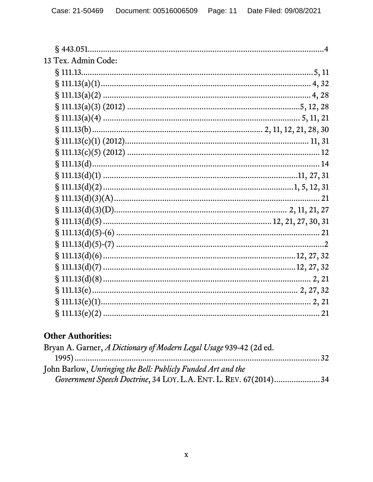| 13 Tex. Admin Code: |  |
|---------------------|--|
|                     |  |
|                     |  |
|                     |  |
|                     |  |
|                     |  |
|                     |  |
|                     |  |
|                     |  |
|                     |  |
|                     |  |
|                     |  |
|                     |  |
|                     |  |
|                     |  |
|                     |  |
|                     |  |
|                     |  |
|                     |  |
|                     |  |
|                     |  |
|                     |  |
|                     |  |

# **Other Authorities:**

| Bryan A. Garner, A Dictionary of Modern Legal Usage 939-42 (2d ed. |  |
|--------------------------------------------------------------------|--|
|                                                                    |  |
| John Barlow, Unringing the Bell: Publicly Funded Art and the       |  |
| Government Speech Doctrine, 34 LOY. L.A. ENT. L. REV. 67(2014)34   |  |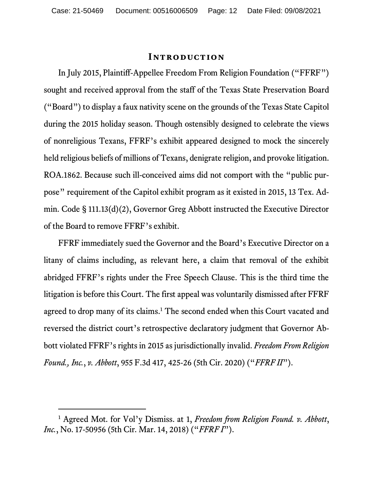#### **Introduction**

In July 2015, Plaintiff-Appellee Freedom From Religion Foundation ("FFRF") sought and received approval from the staff of the Texas State Preservation Board ("Board") to display a faux nativity scene on the grounds of the Texas State Capitol during the 2015 holiday season. Though ostensibly designed to celebrate the views of nonreligious Texans, FFRF's exhibit appeared designed to mock the sincerely held religious beliefs of millions of Texans, denigrate religion, and provoke litigation. ROA.1862. Because such ill-conceived aims did not comport with the "public purpose" requirement of the Capitol exhibit program as it existed in 2015, 13 Tex. Admin. Code § 111.13(d)(2), Governor Greg Abbott instructed the Executive Director of the Board to remove FFRF's exhibit.

FFRF immediately sued the Governor and the Board's Executive Director on a litany of claims including, as relevant here, a claim that removal of the exhibit abridged FFRF's rights under the Free Speech Clause. This is the third time the litigation is before this Court. The first appeal was voluntarily dismissed after FFRF agreed to drop many of its claims.<sup>1</sup> The second ended when this Court vacated and reversed the district court's retrospective declaratory judgment that Governor Abbott violated FFRF's rights in 2015 as jurisdictionally invalid. *Freedom From Religion Found., Inc.*, *v. Abbott*, 955 F.3d 417, 425-26 (5th Cir. 2020) ("*FFRF II*").

<span id="page-11-0"></span><sup>1</sup> Agreed Mot. for Vol'y Dismiss. at 1, *Freedom from Religion Found. v. Abbott*, *Inc.*, No. 17-50956 (5th Cir. Mar. 14, 2018) ("*FFRF I*").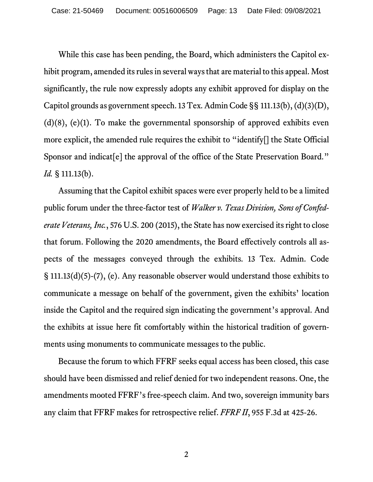While this case has been pending, the Board, which administers the Capitol exhibit program, amended its rules in several ways that are material to this appeal. Most significantly, the rule now expressly adopts any exhibit approved for display on the Capitol grounds as government speech. 13 Tex. Admin Code §§ 111.13(b), (d)(3)(D),  $(d)(8)$ ,  $(e)(1)$ . To make the governmental sponsorship of approved exhibits even more explicit, the amended rule requires the exhibit to "identify[] the State Official Sponsor and indicat<sup>[e]</sup> the approval of the office of the State Preservation Board." *Id.* § 111.13(b).

Assuming that the Capitol exhibit spaces were ever properly held to be a limited public forum under the three-factor test of *Walker v. Texas Division, Sons of Confederate Veterans, Inc.*, 576 U.S. 200 (2015), the State has now exercised its right to close that forum. Following the 2020 amendments, the Board effectively controls all aspects of the messages conveyed through the exhibits. 13 Tex. Admin. Code § 111.13(d)(5)-(7), (e). Any reasonable observer would understand those exhibits to communicate a message on behalf of the government, given the exhibits' location inside the Capitol and the required sign indicating the government's approval. And the exhibits at issue here fit comfortably within the historical tradition of governments using monuments to communicate messages to the public.

Because the forum to which FFRF seeks equal access has been closed, this case should have been dismissed and relief denied for two independent reasons. One, the amendments mooted FFRF's free-speech claim. And two, sovereign immunity bars any claim that FFRF makes for retrospective relief. *FFRF II*, 955 F.3d at 425-26.

2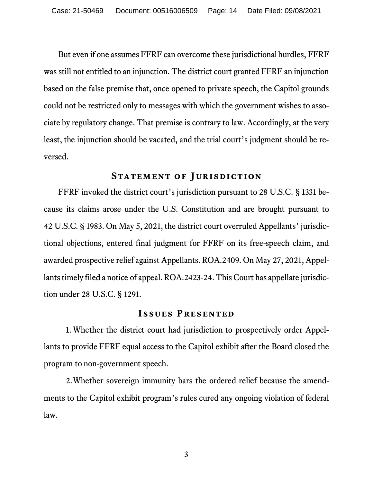But even if one assumes FFRF can overcome these jurisdictional hurdles, FFRF was still not entitled to an injunction. The district court granted FFRF an injunction based on the false premise that, once opened to private speech, the Capitol grounds could not be restricted only to messages with which the government wishes to associate by regulatory change. That premise is contrary to law. Accordingly, at the very least, the injunction should be vacated, and the trial court's judgment should be reversed.

#### **Statement of Jurisdiction**

FFRF invoked the district court's jurisdiction pursuant to 28 U.S.C. § 1331 because its claims arose under the U.S. Constitution and are brought pursuant to 42 U.S.C. § 1983. On May 5, 2021, the district court overruled Appellants' jurisdictional objections, entered final judgment for FFRF on its free-speech claim, and awarded prospective relief against Appellants. ROA.2409. On May 27, 2021, Appellants timely filed a notice of appeal. ROA.2423-24. This Court has appellate jurisdiction under 28 U.S.C. § 1291.

#### **Issues Presented**

1.Whether the district court had jurisdiction to prospectively order Appellants to provide FFRF equal access to the Capitol exhibit after the Board closed the program to non-government speech.

2.Whether sovereign immunity bars the ordered relief because the amendments to the Capitol exhibit program's rules cured any ongoing violation of federal law.

3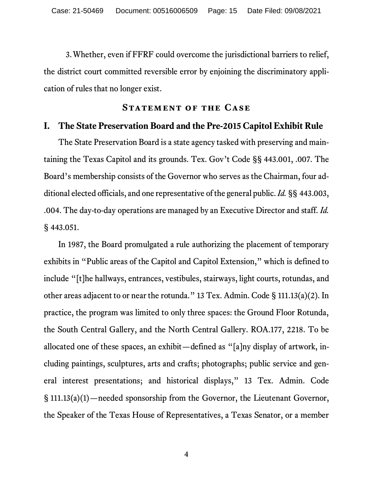3.Whether, even if FFRF could overcome the jurisdictional barriers to relief, the district court committed reversible error by enjoining the discriminatory application of rules that no longer exist.

#### **STATEMENT OF THE CASE**

#### **I. The State Preservation Board and the Pre-2015 Capitol Exhibit Rule**

The State Preservation Board is a state agency tasked with preserving and maintaining the Texas Capitol and its grounds. Tex. Gov't Code §§ 443.001, .007. The Board's membership consists of the Governor who serves as the Chairman, four additional elected officials, and one representative of the general public. *Id.* §§ 443.003, .004. The day-to-day operations are managed by an Executive Director and staff. *Id.* § 443.051.

In 1987, the Board promulgated a rule authorizing the placement of temporary exhibits in "Public areas of the Capitol and Capitol Extension," which is defined to include "[t]he hallways, entrances, vestibules, stairways, light courts, rotundas, and other areas adjacent to or near the rotunda." 13 Tex. Admin. Code § 111.13(a)(2). In practice, the program was limited to only three spaces: the Ground Floor Rotunda, the South Central Gallery, and the North Central Gallery. ROA.177, 2218. To be allocated one of these spaces, an exhibit—defined as "[a]ny display of artwork, including paintings, sculptures, arts and crafts; photographs; public service and general interest presentations; and historical displays," 13 Tex. Admin. Code § 111.13(a)(1)*—*needed sponsorship from the Governor, the Lieutenant Governor, the Speaker of the Texas House of Representatives, a Texas Senator, or a member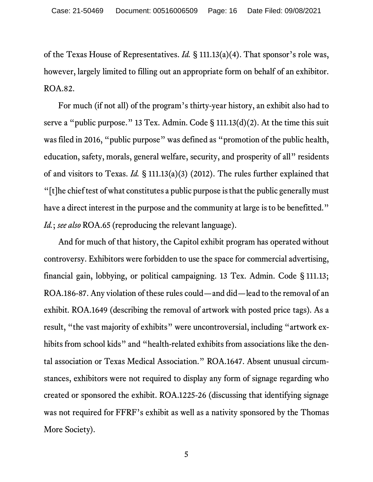of the Texas House of Representatives. *Id.* § 111.13(a)(4). That sponsor's role was, however, largely limited to filling out an appropriate form on behalf of an exhibitor. ROA.82.

For much (if not all) of the program's thirty-year history, an exhibit also had to serve a "public purpose." 13 Tex. Admin. Code § 111.13(d)(2). At the time this suit was filed in 2016, "public purpose" was defined as "promotion of the public health, education, safety, morals, general welfare, security, and prosperity of all" residents of and visitors to Texas. *Id.* § 111.13(a)(3) (2012). The rules further explained that "[t]he chief test of what constitutes a public purpose is that the public generally must have a direct interest in the purpose and the community at large is to be benefitted." *Id.*; *see also* ROA.65 (reproducing the relevant language).

And for much of that history, the Capitol exhibit program has operated without controversy. Exhibitors were forbidden to use the space for commercial advertising, financial gain, lobbying, or political campaigning. 13 Tex. Admin. Code § 111.13; ROA.186-87. Any violation of these rules could—and did—lead to the removal of an exhibit. ROA.1649 (describing the removal of artwork with posted price tags). As a result, "the vast majority of exhibits" were uncontroversial, including "artwork exhibits from school kids" and "health-related exhibits from associations like the dental association or Texas Medical Association." ROA.1647. Absent unusual circumstances, exhibitors were not required to display any form of signage regarding who created or sponsored the exhibit. ROA.1225-26 (discussing that identifying signage was not required for FFRF's exhibit as well as a nativity sponsored by the Thomas More Society).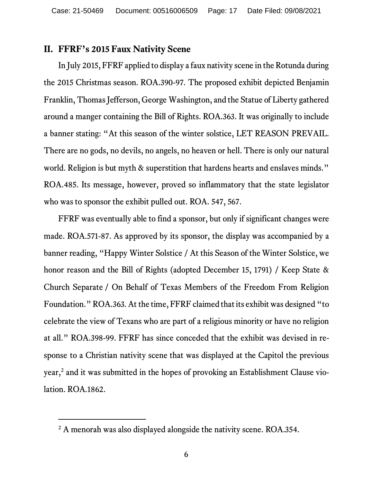#### **II. FFRF's 2015 Faux Nativity Scene**

In July 2015, FFRF applied to display a faux nativity scene in the Rotunda during the 2015 Christmas season. ROA.390-97. The proposed exhibit depicted Benjamin Franklin, Thomas Jefferson, George Washington, and the Statue of Liberty gathered around a manger containing the Bill of Rights. ROA.363. It was originally to include a banner stating: "At this season of the winter solstice, LET REASON PREVAIL. There are no gods, no devils, no angels, no heaven or hell. There is only our natural world. Religion is but myth & superstition that hardens hearts and enslaves minds." ROA.485. Its message, however, proved so inflammatory that the state legislator who was to sponsor the exhibit pulled out. ROA. 547, 567.

FFRF was eventually able to find a sponsor, but only if significant changes were made. ROA.571-87. As approved by its sponsor, the display was accompanied by a banner reading, "Happy Winter Solstice / At this Season of the Winter Solstice, we honor reason and the Bill of Rights (adopted December 15, 1791) / Keep State & Church Separate / On Behalf of Texas Members of the Freedom From Religion Foundation." ROA.363*.* At the time, FFRF claimed that its exhibit was designed "to celebrate the view of Texans who are part of a religious minority or have no religion at all." ROA.398-99. FFRF has since conceded that the exhibit was devised in response to a Christian nativity scene that was displayed at the Capitol the previous year, [2](#page-16-0) and it was submitted in the hopes of provoking an Establishment Clause violation. ROA.1862.

<span id="page-16-0"></span><sup>&</sup>lt;sup>2</sup> A menorah was also displayed alongside the nativity scene. ROA.354.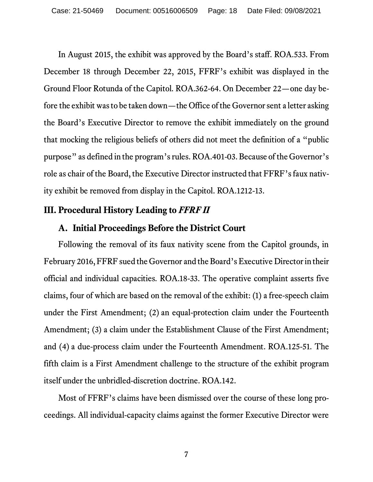In August 2015, the exhibit was approved by the Board's staff. ROA.533. From December 18 through December 22, 2015, FFRF's exhibit was displayed in the Ground Floor Rotunda of the Capitol. ROA.362-64. On December 22—one day before the exhibit was to be taken down—the Office of the Governor sent a letter asking the Board's Executive Director to remove the exhibit immediately on the ground that mocking the religious beliefs of others did not meet the definition of a "public purpose" as defined in the program's rules. ROA.401-03. Because of the Governor's role as chair of the Board, the Executive Director instructed that FFRF's faux nativity exhibit be removed from display in the Capitol. ROA.1212-13.

#### **III. Procedural History Leading to** *FFRF II*

#### **A. Initial Proceedings Before the District Court**

Following the removal of its faux nativity scene from the Capitol grounds, in February 2016,FFRF sued the Governor and the Board's Executive Director in their official and individual capacities. ROA.18-33. The operative complaint asserts five claims, four of which are based on the removal of the exhibit: (1) a free-speech claim under the First Amendment; (2) an equal-protection claim under the Fourteenth Amendment; (3) a claim under the Establishment Clause of the First Amendment; and (4) a due-process claim under the Fourteenth Amendment. ROA.125-51. The fifth claim is a First Amendment challenge to the structure of the exhibit program itself under the unbridled-discretion doctrine. ROA.142.

Most of FFRF's claims have been dismissed over the course of these long proceedings. All individual-capacity claims against the former Executive Director were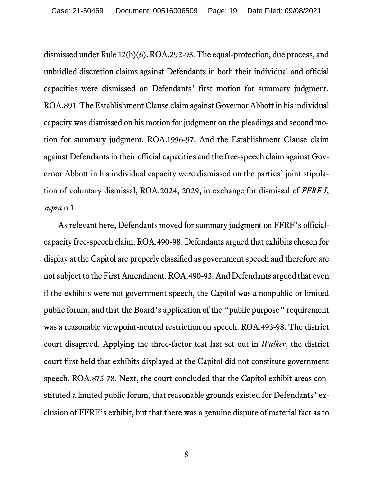dismissed under Rule 12(b)(6).ROA.292-93. The equal-protection, due process, and unbridled discretion claims against Defendants in both their individual and official capacities were dismissed on Defendants' first motion for summary judgment. ROA.891. The Establishment Clause claim against Governor Abbott in his individual capacity was dismissed on his motion for judgment on the pleadings and second motion for summary judgment. ROA.1996-97. And the Establishment Clause claim against Defendants in their official capacities and the free-speech claim against Governor Abbott in his individual capacity were dismissed on the parties' joint stipulation of voluntary dismissal, ROA.2024, 2029, in exchange for dismissal of *FFRF I*, *supra* n.1.

As relevant here, Defendants moved for summary judgment on FFRF's officialcapacity free-speech claim. ROA.490-98. Defendants argued that exhibits chosen for display at the Capitol are properly classified as government speech and therefore are not subject to the First Amendment. ROA.490-93. And Defendants argued that even if the exhibits were not government speech, the Capitol was a nonpublic or limited public forum, and that the Board's application of the "public purpose" requirement was a reasonable viewpoint-neutral restriction on speech. ROA.493-98. The district court disagreed. Applying the three-factor test last set out in *Walker*, the district court first held that exhibits displayed at the Capitol did not constitute government speech. ROA.875-78. Next, the court concluded that the Capitol exhibit areas constituted a limited public forum, that reasonable grounds existed for Defendants' exclusion of FFRF's exhibit, but that there was a genuine dispute of material fact as to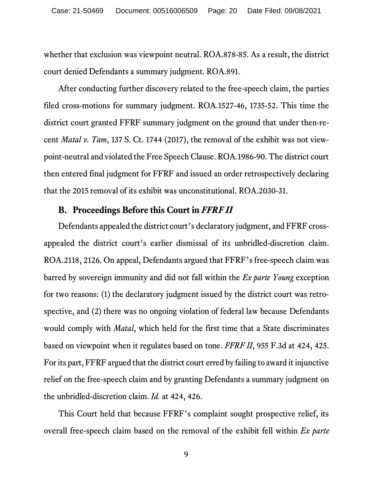whether that exclusion was viewpoint neutral. ROA.878-85. As a result, the district court denied Defendants a summary judgment. ROA.891.

After conducting further discovery related to the free-speech claim, the parties filed cross-motions for summary judgment. ROA.1527-46, 1735-52. This time the district court granted FFRF summary judgment on the ground that under then-recent *Matal v. Tam*, 137 S. Ct. 1744 (2017), the removal of the exhibit was not viewpoint-neutral and violated the Free Speech Clause. ROA.1986-90. The district court then entered final judgment for FFRF and issued an order retrospectively declaring that the 2015 removal of its exhibit was unconstitutional. ROA.2030-31.

#### **B. Proceedings Before this Court in** *FFRF II*

Defendants appealed the district court's declaratory judgment, and FFRF crossappealed the district court's earlier dismissal of its unbridled-discretion claim. ROA.2118, 2126. On appeal, Defendants argued that FFRF's free-speech claim was barred by sovereign immunity and did not fall within the *Ex parte Young* exception for two reasons: (1) the declaratory judgment issued by the district court was retrospective, and (2) there was no ongoing violation of federal law because Defendants would comply with *Matal*, which held for the first time that a State discriminates based on viewpoint when it regulates based on tone. *FFRF II*, 955 F.3d at 424, 425. For its part, FFRF argued that the district court erred by failing to award it injunctive relief on the free-speech claim and by granting Defendants a summary judgment on the unbridled-discretion claim. *Id.* at 424, 426.

This Court held that because FFRF's complaint sought prospective relief, its overall free-speech claim based on the removal of the exhibit fell within *Ex parte*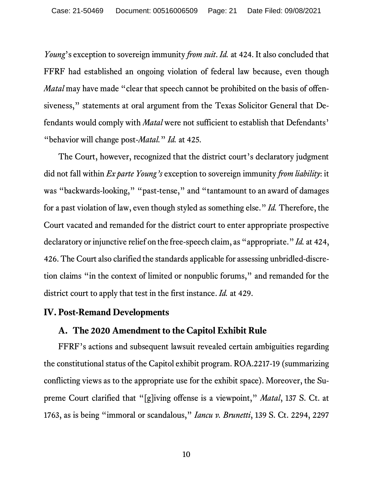*Young*'s exception to sovereign immunity *from suit*. *Id.* at 424. It also concluded that FFRF had established an ongoing violation of federal law because, even though *Matal* may have made "clear that speech cannot be prohibited on the basis of offensiveness," statements at oral argument from the Texas Solicitor General that Defendants would comply with *Matal* were not sufficient to establish that Defendants' "behavior will change post-*Matal.*" *Id.* at 425.

The Court, however, recognized that the district court's declaratory judgment did not fall within *Ex parte Young's* exception to sovereign immunity *from liability*: it was "backwards-looking," "past-tense," and "tantamount to an award of damages for a past violation of law, even though styled as something else." *Id.* Therefore, the Court vacated and remanded for the district court to enter appropriate prospective declaratory or injunctive relief on the free-speech claim, as "appropriate."*Id.* at 424, 426. The Court also clarified the standards applicable for assessing unbridled-discretion claims "in the context of limited or nonpublic forums," and remanded for the district court to apply that test in the first instance. *Id.* at 429.

#### **IV. Post-Remand Developments**

#### **A. The 2020 Amendment to the Capitol Exhibit Rule**

FFRF's actions and subsequent lawsuit revealed certain ambiguities regarding the constitutional status of the Capitol exhibit program. ROA.2217-19 (summarizing conflicting views as to the appropriate use for the exhibit space). Moreover, the Supreme Court clarified that "[g]iving offense is a viewpoint," *Matal*, 137 S. Ct. at 1763, as is being "immoral or scandalous," *Iancu v. Brunetti*, 139 S. Ct. 2294, 2297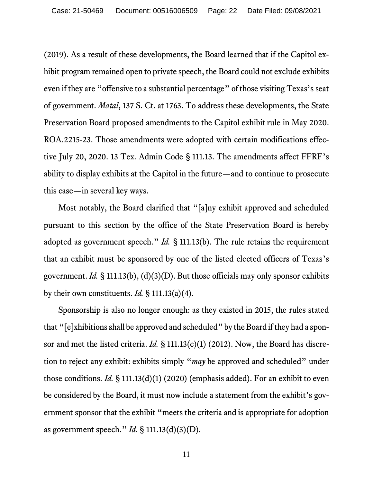(2019). As a result of these developments, the Board learned that if the Capitol exhibit program remained open to private speech, the Board could not exclude exhibits even if they are "offensive to a substantial percentage" of those visiting Texas's seat of government. *Matal*, 137 S. Ct. at 1763. To address these developments, the State Preservation Board proposed amendments to the Capitol exhibit rule in May 2020. ROA.2215-23. Those amendments were adopted with certain modifications effective July 20, 2020. 13 Tex. Admin Code § 111.13. The amendments affect FFRF's ability to display exhibits at the Capitol in the future—and to continue to prosecute this case—in several key ways.

Most notably, the Board clarified that "[a]ny exhibit approved and scheduled pursuant to this section by the office of the State Preservation Board is hereby adopted as government speech." *Id.* § 111.13(b). The rule retains the requirement that an exhibit must be sponsored by one of the listed elected officers of Texas's government. *Id.* § 111.13(b), (d)(3)(D). But those officials may only sponsor exhibits by their own constituents. *Id.* § 111.13(a)(4).

Sponsorship is also no longer enough: as they existed in 2015, the rules stated that "[e]xhibitions shall be approved and scheduled" by the Board if they had a sponsor and met the listed criteria. *Id.* § 111.13(c)(1) (2012). Now, the Board has discretion to reject any exhibit: exhibits simply "*may* be approved and scheduled" under those conditions. *Id.* § 111.13(d)(1) (2020) (emphasis added). For an exhibit to even be considered by the Board, it must now include a statement from the exhibit's government sponsor that the exhibit "meets the criteria and is appropriate for adoption as government speech." *Id.* § 111.13(d)(3)(D).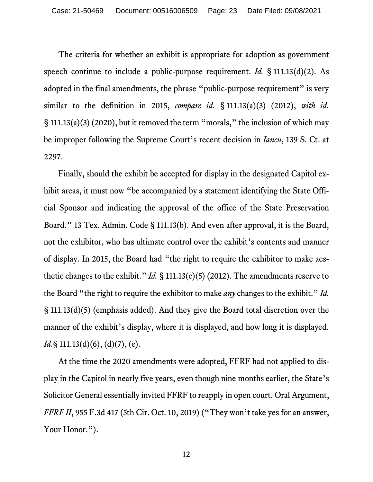The criteria for whether an exhibit is appropriate for adoption as government speech continue to include a public-purpose requirement. *Id.* § 111.13(d)(2). As adopted in the final amendments, the phrase "public-purpose requirement" is very similar to the definition in 2015, *compare id.* § 111.13(a)(3) (2012), *with id.* § 111.13(a)(3) (2020), but it removed the term "morals," the inclusion of which may be improper following the Supreme Court's recent decision in *Iancu*, 139 S. Ct. at 2297*.*

Finally, should the exhibit be accepted for display in the designated Capitol exhibit areas, it must now "be accompanied by a statement identifying the State Official Sponsor and indicating the approval of the office of the State Preservation Board." 13 Tex. Admin. Code § 111.13(b). And even after approval, it is the Board, not the exhibitor, who has ultimate control over the exhibit's contents and manner of display. In 2015, the Board had "the right to require the exhibitor to make aesthetic changes to the exhibit." *Id.* § 111.13(c)(5) (2012). The amendments reserve to the Board "the right to require the exhibitor to make *any* changes to the exhibit." *Id.* § 111.13(d)(5) (emphasis added). And they give the Board total discretion over the manner of the exhibit's display, where it is displayed, and how long it is displayed. *Id.*§ 111.13(d)(6), (d)(7), (e).

At the time the 2020 amendments were adopted, FFRF had not applied to display in the Capitol in nearly five years, even though nine months earlier, the State's Solicitor General essentially invited FFRF to reapply in open court. Oral Argument, *FFRF II*, 955 F.3d 417 (5th Cir. Oct. 10, 2019) ("They won't take yes for an answer, Your Honor.").

12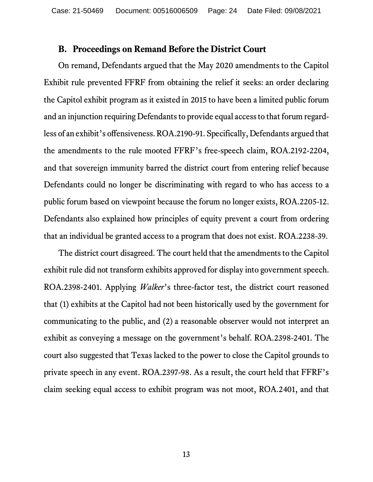#### **B. Proceedings on Remand Before the District Court**

On remand, Defendants argued that the May 2020 amendments to the Capitol Exhibit rule prevented FFRF from obtaining the relief it seeks: an order declaring the Capitol exhibit program as it existed in 2015 to have been a limited public forum and an injunction requiring Defendants to provide equal access to that forum regardless of an exhibit's offensiveness.ROA.2190-91. Specifically, Defendants argued that the amendments to the rule mooted FFRF's free-speech claim, ROA.2192-2204, and that sovereign immunity barred the district court from entering relief because Defendants could no longer be discriminating with regard to who has access to a public forum based on viewpoint because the forum no longer exists, ROA.2205-12. Defendants also explained how principles of equity prevent a court from ordering that an individual be granted access to a program that does not exist. ROA.2238-39.

The district court disagreed. The court held that the amendments to the Capitol exhibit rule did not transform exhibits approved for display into government speech. ROA.2398-2401. Applying *Walker*'s three-factor test, the district court reasoned that (1) exhibits at the Capitol had not been historically used by the government for communicating to the public, and (2) a reasonable observer would not interpret an exhibit as conveying a message on the government's behalf. ROA.2398-2401. The court also suggested that Texas lacked to the power to close the Capitol grounds to private speech in any event. ROA.2397-98. As a result, the court held that FFRF's claim seeking equal access to exhibit program was not moot, ROA.2401, and that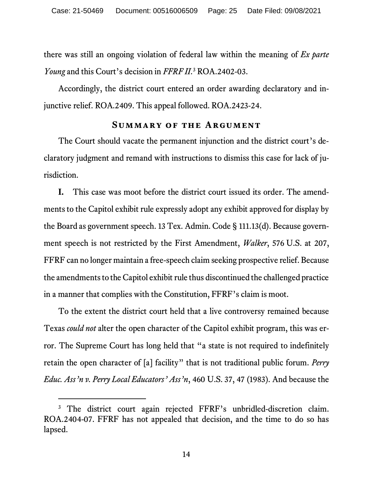there was still an ongoing violation of federal law within the meaning of *Ex parte Young* and this Court's decision in *FFRF II*. [3](#page-24-0) ROA.2402-03.

Accordingly, the district court entered an order awarding declaratory and injunctive relief. ROA.2409. This appeal followed. ROA.2423-24.

#### **Summary of the Argument**

The Court should vacate the permanent injunction and the district court's declaratory judgment and remand with instructions to dismiss this case for lack of jurisdiction.

**I.** This case was moot before the district court issued its order. The amendments to the Capitol exhibit rule expressly adopt any exhibit approved for display by the Board as government speech. 13 Tex. Admin. Code § 111.13(d). Because government speech is not restricted by the First Amendment, *Walker*, 576 U.S. at 207, FFRF can no longer maintain a free-speech claim seeking prospective relief. Because the amendments to the Capitol exhibit rule thus discontinued the challenged practice in a manner that complies with the Constitution, FFRF's claim is moot.

To the extent the district court held that a live controversy remained because Texas *could not* alter the open character of the Capitol exhibit program, this was error. The Supreme Court has long held that "a state is not required to indefinitely retain the open character of [a] facility" that is not traditional public forum. *Perry Educ. Ass'n v. Perry Local Educators' Ass'n*, 460 U.S. 37, 47 (1983). And because the

<span id="page-24-0"></span><sup>&</sup>lt;sup>3</sup> The district court again rejected FFRF's unbridled-discretion claim. ROA.2404-07. FFRF has not appealed that decision, and the time to do so has lapsed.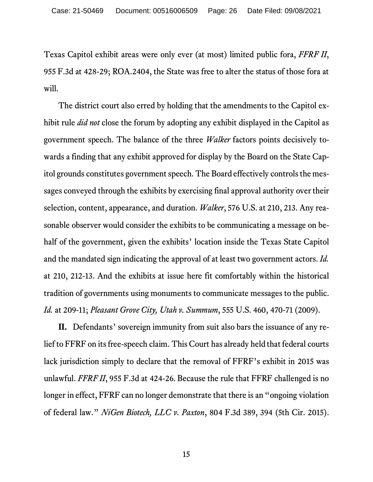Texas Capitol exhibit areas were only ever (at most) limited public fora, *FFRF II*, 955 F.3d at 428-29; ROA.2404, the State was free to alter the status of those fora at will.

The district court also erred by holding that the amendments to the Capitol exhibit rule *did not* close the forum by adopting any exhibit displayed in the Capitol as government speech. The balance of the three *Walker* factors points decisively towards a finding that any exhibit approved for display by the Board on the State Capitol grounds constitutes government speech. The Board effectively controls the messages conveyed through the exhibits by exercising final approval authority over their selection, content, appearance, and duration. *Walker*, 576 U.S. at 210, 213. Any reasonable observer would consider the exhibits to be communicating a message on behalf of the government, given the exhibits' location inside the Texas State Capitol and the mandated sign indicating the approval of at least two government actors. *Id.* at 210, 212-13. And the exhibits at issue here fit comfortably within the historical tradition of governments using monuments to communicate messages to the public. *Id.* at 209-11; *Pleasant Grove City, Utah v. Summum*, 555 U.S. 460, 470-71 (2009).

**II.** Defendants' sovereign immunity from suit also bars the issuance of any relief to FFRF on its free-speech claim. This Court has already held that federal courts lack jurisdiction simply to declare that the removal of FFRF's exhibit in 2015 was unlawful. *FFRF II*, 955 F.3d at 424-26. Because the rule that FFRF challenged is no longer in effect, FFRF can no longer demonstrate that there is an "ongoing violation of federal law." *NiGen Biotech, LLC v. Paxton*, 804 F.3d 389, 394 (5th Cir. 2015).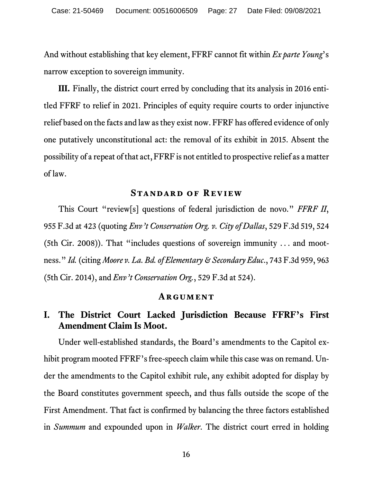And without establishing that key element, FFRF cannot fit within *Ex parte Young*'s narrow exception to sovereign immunity.

**III.** Finally, the district court erred by concluding that its analysis in 2016 entitled FFRF to relief in 2021. Principles of equity require courts to order injunctive relief based on the facts and law as they exist now. FFRF has offered evidence of only one putatively unconstitutional act: the removal of its exhibit in 2015. Absent the possibility of a repeat of that act, FFRF is not entitled to prospective relief as a matter of law.

#### **Standard of Review**

This Court "review[s] questions of federal jurisdiction de novo." *FFRF II*, 955 F.3d at 423 (quoting *Env't Conservation Org. v. City of Dallas*, 529 F.3d 519, 524 (5th Cir. 2008)). That "includes questions of sovereign immunity . . . and mootness." *Id.* (citing *Moore v. La. Bd. of Elementary & Secondary Educ*., 743 F.3d 959, 963 (5th Cir. 2014), and *Env't Conservation Org.*, 529 F.3d at 524).

#### **Argument**

# **I. The District Court Lacked Jurisdiction Because FFRF's First Amendment Claim Is Moot.**

Under well-established standards, the Board's amendments to the Capitol exhibit program mooted FFRF's free-speech claim while this case was on remand. Under the amendments to the Capitol exhibit rule, any exhibit adopted for display by the Board constitutes government speech, and thus falls outside the scope of the First Amendment. That fact is confirmed by balancing the three factors established in *Summum* and expounded upon in *Walker*. The district court erred in holding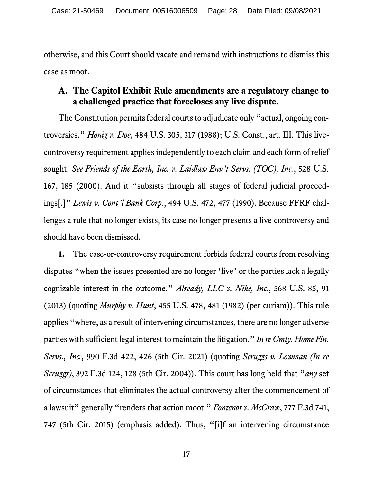otherwise, and this Court should vacate and remand with instructions to dismiss this case as moot.

### **A. The Capitol Exhibit Rule amendments are a regulatory change to a challenged practice that forecloses any live dispute.**

The Constitution permits federal courts to adjudicate only "actual, ongoing controversies." *Honig v. Doe*, 484 U.S. 305, 317 (1988); U.S. Const., art. III. This livecontroversy requirement applies independently to each claim and each form of relief sought. *See Friends of the Earth, Inc. v. Laidlaw Env't Servs. (TOC), Inc.*, 528 U.S. 167, 185 (2000). And it "subsists through all stages of federal judicial proceedings[.]" *Lewis v. Cont'l Bank Corp.*, 494 U.S. 472, 477 (1990). Because FFRF challenges a rule that no longer exists, its case no longer presents a live controversy and should have been dismissed.

**1.** The case-or-controversy requirement forbids federal courts from resolving disputes "when the issues presented are no longer 'live' or the parties lack a legally cognizable interest in the outcome." *Already, LLC v. Nike, Inc.*, 568 U.S. 85, 91 (2013) (quoting *Murphy v. Hunt*, 455 U.S. 478, 481 (1982) (per curiam)). This rule applies "where, as a result of intervening circumstances, there are no longer adverse parties with sufficient legal interest to maintain the litigation." *In re Cmty. Home Fin. Servs., Inc.*, 990 F.3d 422, 426 (5th Cir. 2021) (quoting *Scruggs v. Lowman (In re Scruggs)*, 392 F.3d 124, 128 (5th Cir. 2004)). This court has long held that "*any* set of circumstances that eliminates the actual controversy after the commencement of a lawsuit" generally "renders that action moot." *Fontenot v. McCraw*, 777 F.3d 741, 747 (5th Cir. 2015) (emphasis added). Thus, "[i]f an intervening circumstance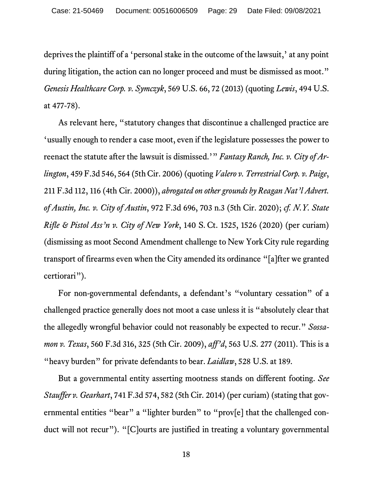deprives the plaintiff of a 'personal stake in the outcome of the lawsuit,' at any point during litigation, the action can no longer proceed and must be dismissed as moot." *Genesis Healthcare Corp. v. Symczyk*, 569 U.S. 66, 72 (2013) (quoting *Lewis*, 494 U.S. at 477-78).

As relevant here, "statutory changes that discontinue a challenged practice are 'usually enough to render a case moot, even if the legislature possesses the power to reenact the statute after the lawsuit is dismissed.'" *Fantasy Ranch, Inc. v. City of Arlington*, 459 F.3d 546, 564 (5th Cir. 2006) (quoting *Valero v. Terrestrial Corp. v. Paige*, 211 F.3d 112, 116 (4th Cir. 2000)), *abrogated on other grounds by Reagan Nat'l Advert. of Austin, Inc. v. City of Austin*, 972 F.3d 696, 703 n.3 (5th Cir. 2020); *cf. N.Y. State Rifle & Pistol Ass'n v. City of New York*, 140 S. Ct. 1525, 1526 (2020) (per curiam) (dismissing as moot Second Amendment challenge to New York City rule regarding transport of firearms even when the City amended its ordinance "[a]fter we granted certiorari").

For non-governmental defendants, a defendant's "voluntary cessation" of a challenged practice generally does not moot a case unless it is "absolutely clear that the allegedly wrongful behavior could not reasonably be expected to recur." *Sossamon v. Texas*, 560 F.3d 316, 325 (5th Cir. 2009), *aff'd*, 563 U.S. 277 (2011). This is a "heavy burden" for private defendants to bear. *Laidlaw*, 528 U.S. at 189.

But a governmental entity asserting mootness stands on different footing. *See Stauffer v. Gearhart*, 741 F.3d 574, 582 (5th Cir. 2014) (per curiam) (stating that governmental entities "bear" a "lighter burden" to "prov[e] that the challenged conduct will not recur"). "[C]ourts are justified in treating a voluntary governmental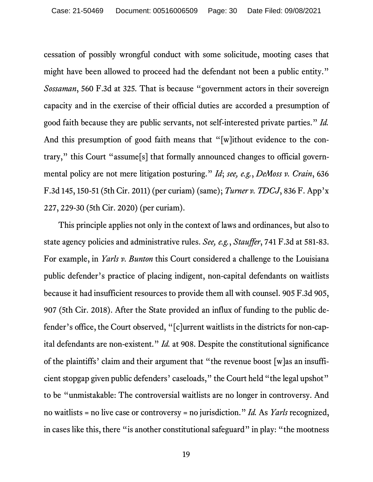cessation of possibly wrongful conduct with some solicitude, mooting cases that might have been allowed to proceed had the defendant not been a public entity." *Sossaman*, 560 F.3d at 325*.* That is because "government actors in their sovereign capacity and in the exercise of their official duties are accorded a presumption of good faith because they are public servants, not self-interested private parties." *Id.*  And this presumption of good faith means that "[w]ithout evidence to the contrary," this Court "assume[s] that formally announced changes to official governmental policy are not mere litigation posturing." *Id*; *see, e.g.*, *DeMoss v. Crain*, 636 F.3d 145, 150-51 (5th Cir. 2011) (per curiam) (same); *Turner v. TDCJ*, 836 F. App'x 227, 229-30 (5th Cir. 2020) (per curiam).

This principle applies not only in the context of laws and ordinances, but also to state agency policies and administrative rules. *See, e.g.*, *Stauffer*, 741 F.3d at 581-83. For example, in *Yarls v. Bunton* this Court considered a challenge to the Louisiana public defender's practice of placing indigent, non-capital defendants on waitlists because it had insufficient resources to provide them all with counsel. 905 F.3d 905, 907 (5th Cir. 2018). After the State provided an influx of funding to the public defender's office, the Court observed, "[c]urrent waitlists in the districts for non-capital defendants are non-existent." *Id.* at 908. Despite the constitutional significance of the plaintiffs' claim and their argument that "the revenue boost [w]as an insufficient stopgap given public defenders' caseloads," the Court held "the legal upshot" to be "unmistakable: The controversial waitlists are no longer in controversy. And no waitlists = no live case or controversy = no jurisdiction." *Id.* As *Yarls* recognized, in cases like this, there "is another constitutional safeguard" in play: "the mootness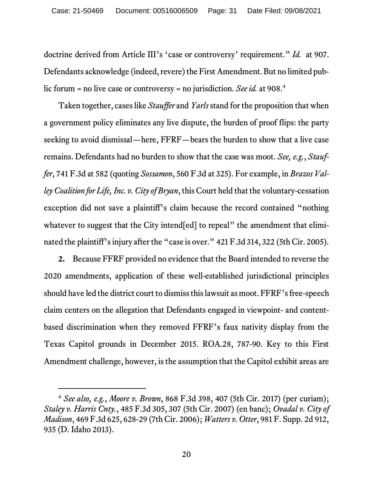doctrine derived from Article III's 'case or controversy' requirement." *Id.* at 907. Defendants acknowledge (indeed, revere) the First Amendment. But no limited public forum = no live case or controversy = no jurisdiction. *See id.* at 908.[4](#page-30-0)

Taken together, cases like *Stauffer* and *Yarls* stand for the proposition that when a government policy eliminates any live dispute, the burden of proof flips: the party seeking to avoid dismissal—here, FFRF—bears the burden to show that a live case remains. Defendants had no burden to show that the case was moot. *See, e.g.*, *Stauffer*, 741 F.3d at 582 (quoting *Sossamon*, 560 F.3d at 325). For example, in *Brazos Valley Coalition for Life, Inc. v. City of Bryan*, this Court held that the voluntary-cessation exception did not save a plaintiff's claim because the record contained "nothing whatever to suggest that the City intend [ed] to repeal" the amendment that eliminated the plaintiff's injury after the "case is over." 421 F.3d 314, 322 (5th Cir. 2005).

**2.** Because FFRF provided no evidence that the Board intended to reverse the 2020 amendments, application of these well-established jurisdictional principles should have led the district court to dismiss this lawsuit as moot. FFRF's free-speech claim centers on the allegation that Defendants engaged in viewpoint- and contentbased discrimination when they removed FFRF's faux nativity display from the Texas Capitol grounds in December 2015. ROA.28, 787-90. Key to this First Amendment challenge, however, is the assumption that the Capitol exhibit areas are

<span id="page-30-0"></span><sup>4</sup> *See also, e.g.*, *Moore v. Brown*, 868 F.3d 398, 407 (5th Cir. 2017) (per curiam); *Staley v. Harris Cnty.*, 485 F.3d 305, 307 (5th Cir. 2007) (en banc); *Ovadal v. City of Madison*, 469 F.3d 625, 628-29 (7th Cir. 2006); *Watters v. Otter*, 981 F. Supp. 2d 912, 935 (D. Idaho 2013).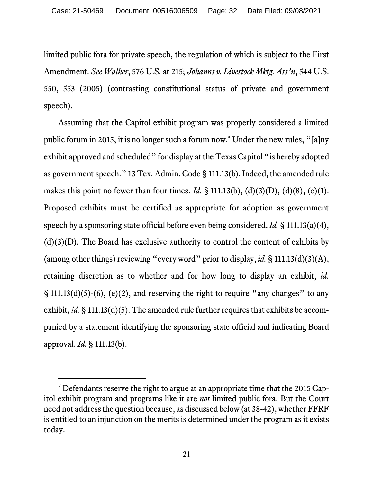limited public fora for private speech, the regulation of which is subject to the First Amendment. *See Walker*, 576 U.S. at 215; *Johanns v. Livestock Mktg. Ass'n*, 544 U.S. 550, 553 (2005) (contrasting constitutional status of private and government speech).

Assuming that the Capitol exhibit program was properly considered a limited public forum in 2015, it is no longer such a forum now[.5](#page-31-0) Under the new rules, "[a]ny exhibit approved and scheduled" for display at the Texas Capitol "is hereby adopted as government speech." 13 Tex. Admin. Code § 111.13(b). Indeed, the amended rule makes this point no fewer than four times. *Id.* § 111.13(b), (d)(3)(D), (d)(8), (e)(1). Proposed exhibits must be certified as appropriate for adoption as government speech by a sponsoring state official before even being considered. *Id.* § 111.13(a)(4),  $(d)(3)(D)$ . The Board has exclusive authority to control the content of exhibits by (among other things) reviewing "every word" prior to display, *id.* § 111.13(d)(3)(A), retaining discretion as to whether and for how long to display an exhibit, *id.*  $\S$  111.13(d)(5)-(6), (e)(2), and reserving the right to require "any changes" to any exhibit, *id.* § 111.13(d)(5). The amended rule further requires that exhibits be accompanied by a statement identifying the sponsoring state official and indicating Board approval. *Id.* § 111.13(b).

<span id="page-31-0"></span><sup>&</sup>lt;sup>5</sup> Defendants reserve the right to argue at an appropriate time that the 2015 Capitol exhibit program and programs like it are *not* limited public fora. But the Court need not address the question because, as discussed below (at 38-42), whether FFRF is entitled to an injunction on the merits is determined under the program as it exists today.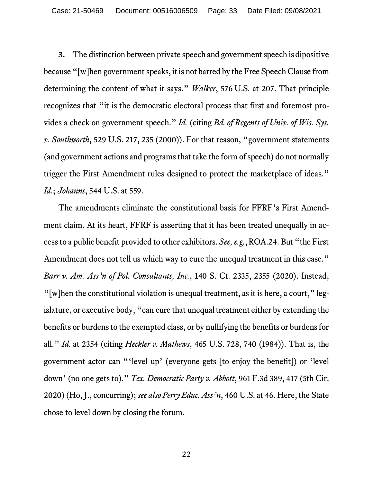**3.** The distinction between private speech and government speech is dipositive because "[w]hen government speaks, it is not barred by the Free Speech Clause from determining the content of what it says." *Walker*, 576 U.S. at 207. That principle recognizes that "it is the democratic electoral process that first and foremost provides a check on government speech." *Id.* (citing *Bd. of Regents of Univ. of Wis. Sys. v. Southworth*, 529 U.S. 217, 235 (2000)). For that reason, "government statements (and government actions and programs that take the form of speech) do not normally trigger the First Amendment rules designed to protect the marketplace of ideas." *Id.*; *Johanns*, 544 U.S. at 559.

The amendments eliminate the constitutional basis for FFRF's First Amendment claim. At its heart, FFRF is asserting that it has been treated unequally in access to a public benefit provided to other exhibitors. *See, e.g.*,ROA.24. But "the First Amendment does not tell us which way to cure the unequal treatment in this case." *Barr v. Am. Ass'n of Pol. Consultants, Inc.*, 140 S. Ct. 2335, 2355 (2020). Instead, "[w]hen the constitutional violation is unequal treatment, as it is here, a court," legislature, or executive body, "can cure that unequal treatment either by extending the benefits or burdens to the exempted class, or by nullifying the benefits or burdens for all." *Id.* at 2354 (citing *Heckler v. Mathews*, 465 U.S. 728, 740 (1984)). That is, the government actor can "'level up' (everyone gets [to enjoy the benefit]) or 'level down' (no one gets to)." *Tex. Democratic Party v. Abbott*, 961 F.3d 389, 417 (5th Cir. 2020) (Ho, J., concurring); *see also Perry Educ. Ass'n*, 460 U.S. at 46. Here, the State chose to level down by closing the forum.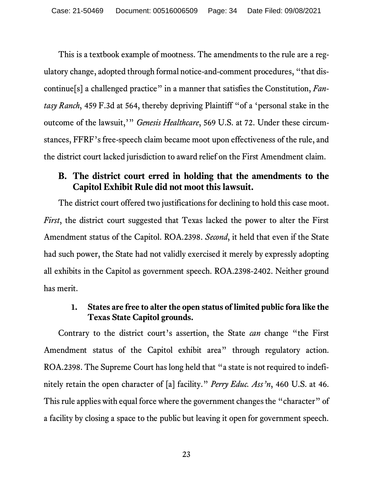This is a textbook example of mootness. The amendments to the rule are a regulatory change, adopted through formal notice-and-comment procedures, "that discontinue[s] a challenged practice" in a manner that satisfies the Constitution, *Fantasy Ranch*, 459 F.3d at 564, thereby depriving Plaintiff "of a 'personal stake in the outcome of the lawsuit,'" *Genesis Healthcare*, 569 U.S. at 72. Under these circumstances, FFRF's free-speech claim became moot upon effectiveness of the rule, and the district court lacked jurisdiction to award relief on the First Amendment claim.

## **B. The district court erred in holding that the amendments to the Capitol Exhibit Rule did not moot this lawsuit.**

The district court offered two justifications for declining to hold this case moot. *First*, the district court suggested that Texas lacked the power to alter the First Amendment status of the Capitol. ROA.2398. *Second*, it held that even if the State had such power, the State had not validly exercised it merely by expressly adopting all exhibits in the Capitol as government speech. ROA.2398-2402. Neither ground has merit.

#### **1. States are free to alter the open status of limited public fora like the Texas State Capitol grounds.**

Contrary to the district court's assertion, the State *can* change "the First Amendment status of the Capitol exhibit area" through regulatory action. ROA.2398. The Supreme Court has long held that "a state is not required to indefinitely retain the open character of [a] facility." *Perry Educ. Ass'n*, 460 U.S. at 46. This rule applies with equal force where the government changes the "character" of a facility by closing a space to the public but leaving it open for government speech.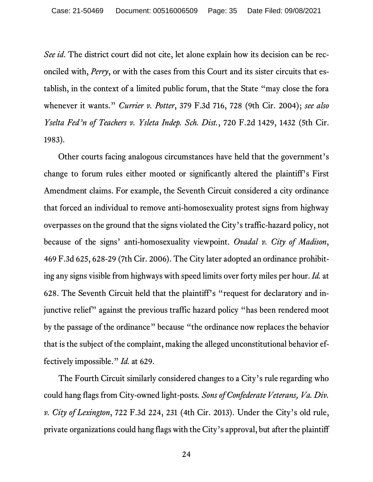*See id*. The district court did not cite, let alone explain how its decision can be reconciled with, *Perry*, or with the cases from this Court and its sister circuits that establish, in the context of a limited public forum, that the State "may close the fora whenever it wants." *Currier v. Potter*, 379 F.3d 716, 728 (9th Cir. 2004); *see also Yselta Fed'n of Teachers v. Ysleta Indep. Sch. Dist.*, 720 F.2d 1429, 1432 (5th Cir. 1983).

Other courts facing analogous circumstances have held that the government's change to forum rules either mooted or significantly altered the plaintiff's First Amendment claims. For example, the Seventh Circuit considered a city ordinance that forced an individual to remove anti-homosexuality protest signs from highway overpasses on the ground that the signs violated the City's traffic-hazard policy, not because of the signs' anti-homosexuality viewpoint. *Ovadal v. City of Madison*, 469 F.3d 625, 628-29 (7th Cir. 2006). The City later adopted an ordinance prohibiting any signs visible from highways with speed limits over forty miles per hour. *Id.* at 628. The Seventh Circuit held that the plaintiff's "request for declaratory and injunctive relief" against the previous traffic hazard policy "has been rendered moot by the passage of the ordinance" because "the ordinance now replaces the behavior that is the subject of the complaint, making the alleged unconstitutional behavior effectively impossible." *Id.* at 629.

The Fourth Circuit similarly considered changes to a City's rule regarding who could hang flags from City-owned light-posts*. Sons of Confederate Veterans, Va. Div. v. City of Lexington*, 722 F.3d 224, 231 (4th Cir. 2013). Under the City's old rule, private organizations could hang flags with the City's approval, but after the plaintiff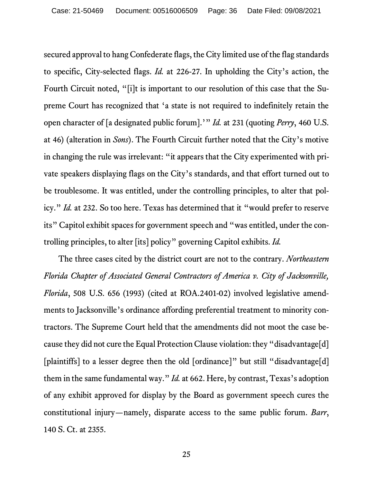secured approval to hang Confederate flags, the City limited use of the flag standards to specific, City-selected flags. *Id.* at 226-27. In upholding the City's action, the Fourth Circuit noted, "[i]t is important to our resolution of this case that the Supreme Court has recognized that 'a state is not required to indefinitely retain the open character of [a designated public forum].'" *Id.* at 231 (quoting *Perry*, 460 U.S. at 46) (alteration in *Sons*). The Fourth Circuit further noted that the City's motive in changing the rule was irrelevant: "it appears that the City experimented with private speakers displaying flags on the City's standards, and that effort turned out to be troublesome. It was entitled, under the controlling principles, to alter that policy." *Id.* at 232. So too here. Texas has determined that it "would prefer to reserve its" Capitol exhibit spaces for government speech and "was entitled, under the controlling principles, to alter [its] policy" governing Capitol exhibits. *Id.*

The three cases cited by the district court are not to the contrary. *Northeastern Florida Chapter of Associated General Contractors of America v. City of Jacksonville, Florida*, 508 U.S. 656 (1993) (cited at ROA.2401-02) involved legislative amendments to Jacksonville's ordinance affording preferential treatment to minority contractors. The Supreme Court held that the amendments did not moot the case because they did not cure the Equal Protection Clause violation: they "disadvantage[d] [plaintiffs] to a lesser degree then the old [ordinance]" but still "disadvantage[d] them in the same fundamental way." *Id.* at 662. Here, by contrast, Texas's adoption of any exhibit approved for display by the Board as government speech cures the constitutional injury—namely, disparate access to the same public forum. *Barr*, 140 S. Ct. at 2355.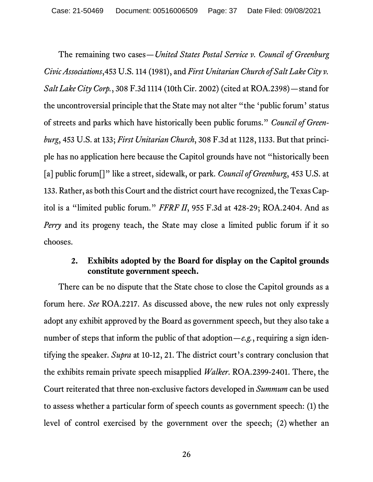The remaining two cases—*United States Postal Service v. Council of Greenburg Civic Associations*,453 U.S. 114 (1981), and *First Unitarian Church of Salt Lake City v. Salt Lake City Corp.*, 308 F.3d 1114 (10th Cir. 2002) (cited at ROA.2398)—stand for the uncontroversial principle that the State may not alter "the 'public forum' status of streets and parks which have historically been public forums." *Council of Greenburg*, 453 U.S. at 133; *First Unitarian Church*, 308 F.3d at 1128, 1133. But that principle has no application here because the Capitol grounds have not "historically been [a] public forum<sup>[]"</sup> like a street, sidewalk, or park. *Council of Greenburg*, 453 U.S. at 133. Rather, as both this Court and the district court have recognized, the Texas Capitol is a "limited public forum." *FFRF II*, 955 F.3d at 428-29; ROA.2404. And as *Perry* and its progeny teach, the State may close a limited public forum if it so chooses.

#### **2. Exhibits adopted by the Board for display on the Capitol grounds constitute government speech.**

There can be no dispute that the State chose to close the Capitol grounds as a forum here. *See* ROA.2217. As discussed above, the new rules not only expressly adopt any exhibit approved by the Board as government speech, but they also take a number of steps that inform the public of that adoption—*e.g.*, requiring a sign identifying the speaker. *Supra* at 10-12, 21. The district court's contrary conclusion that the exhibits remain private speech misapplied *Walker*. ROA.2399-2401. There, the Court reiterated that three non-exclusive factors developed in *Summum* can be used to assess whether a particular form of speech counts as government speech: (1) the level of control exercised by the government over the speech; (2) whether an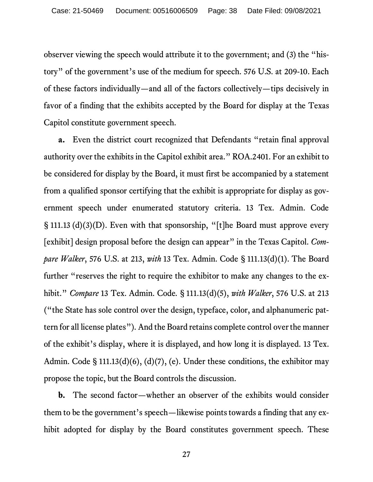observer viewing the speech would attribute it to the government; and (3) the "history" of the government's use of the medium for speech. 576 U.S. at 209-10. Each of these factors individually—and all of the factors collectively—tips decisively in favor of a finding that the exhibits accepted by the Board for display at the Texas Capitol constitute government speech.

**a.** Even the district court recognized that Defendants "retain final approval authority over the exhibits in the Capitol exhibit area." ROA.2401. For an exhibit to be considered for display by the Board, it must first be accompanied by a statement from a qualified sponsor certifying that the exhibit is appropriate for display as government speech under enumerated statutory criteria. 13 Tex. Admin. Code § 111.13 (d)(3)(D). Even with that sponsorship, "[t]he Board must approve every [exhibit] design proposal before the design can appear" in the Texas Capitol. *Compare Walker*, 576 U.S. at 213, *with* 13 Tex. Admin. Code § 111.13(d)(1). The Board further "reserves the right to require the exhibitor to make any changes to the exhibit." *Compare* 13 Tex. Admin. Code*.* § 111.13(d)(5), *with Walker*, 576 U.S. at 213 ("the State has sole control over the design, typeface, color, and alphanumeric pattern for all license plates"). And the Board retains complete control over the manner of the exhibit's display, where it is displayed, and how long it is displayed. 13 Tex. Admin. Code § 111.13(d)(6), (d)(7), (e). Under these conditions, the exhibitor may propose the topic, but the Board controls the discussion.

**b.** The second factor—whether an observer of the exhibits would consider them to be the government's speech—likewise points towards a finding that any exhibit adopted for display by the Board constitutes government speech. These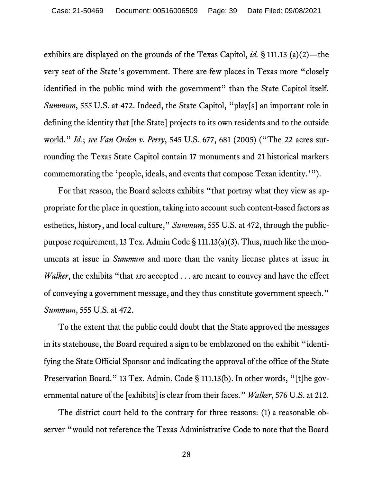exhibits are displayed on the grounds of the Texas Capitol, *id.* § 111.13 (a)(2)—the very seat of the State's government. There are few places in Texas more "closely identified in the public mind with the government" than the State Capitol itself. *Summum*, 555 U.S. at 472. Indeed, the State Capitol, "play[s] an important role in defining the identity that [the State] projects to its own residents and to the outside world." *Id.*; *see Van Orden v. Perry*, 545 U.S. 677, 681 (2005) ("The 22 acres surrounding the Texas State Capitol contain 17 monuments and 21 historical markers commemorating the 'people, ideals, and events that compose Texan identity.'").

For that reason, the Board selects exhibits "that portray what they view as appropriate for the place in question, taking into account such content-based factors as esthetics, history, and local culture," *Summum*, 555 U.S. at 472, through the publicpurpose requirement, 13 Tex. Admin Code § 111.13(a)(3). Thus, much like the monuments at issue in *Summum* and more than the vanity license plates at issue in *Walker*, the exhibits "that are accepted . . . are meant to convey and have the effect of conveying a government message, and they thus constitute government speech." *Summum*, 555 U.S. at 472.

To the extent that the public could doubt that the State approved the messages in its statehouse, the Board required a sign to be emblazoned on the exhibit "identifying the State Official Sponsor and indicating the approval of the office of the State Preservation Board." 13 Tex. Admin. Code § 111.13(b). In other words, "[t]he governmental nature of the [exhibits] is clear from their faces." *Walker*, 576 U.S. at 212.

The district court held to the contrary for three reasons: (1) a reasonable observer "would not reference the Texas Administrative Code to note that the Board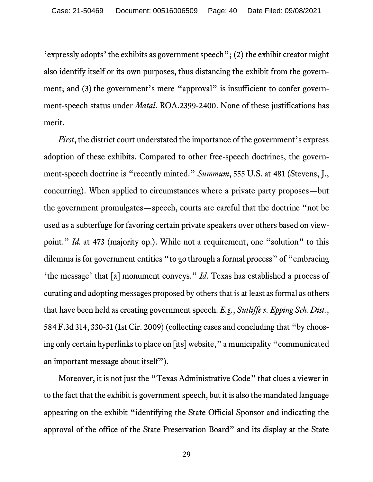'expressly adopts' the exhibits as government speech"; (2) the exhibit creator might also identify itself or its own purposes, thus distancing the exhibit from the government; and (3) the government's mere "approval" is insufficient to confer government-speech status under *Matal*. ROA.2399-2400. None of these justifications has merit.

*First*, the district court understated the importance of the government's express adoption of these exhibits. Compared to other free-speech doctrines, the government-speech doctrine is "recently minted." *Summum*, 555 U.S. at 481 (Stevens, J., concurring). When applied to circumstances where a private party proposes—but the government promulgates—speech, courts are careful that the doctrine "not be used as a subterfuge for favoring certain private speakers over others based on viewpoint." *Id.* at 473 (majority op.). While not a requirement, one "solution" to this dilemma is for government entities "to go through a formal process" of "embracing 'the message' that [a] monument conveys." *Id*. Texas has established a process of curating and adopting messages proposed by others that is at least as formal as others that have been held as creating government speech. *E.g.*, *Sutliffe v. Epping Sch. Dist.*, 584 F.3d 314, 330-31 (1st Cir. 2009) (collecting cases and concluding that "by choosing only certain hyperlinks to place on [its] website," a municipality "communicated an important message about itself").

Moreover, it is not just the "Texas Administrative Code" that clues a viewer in to the fact that the exhibit is government speech, but it is also the mandated language appearing on the exhibit "identifying the State Official Sponsor and indicating the approval of the office of the State Preservation Board" and its display at the State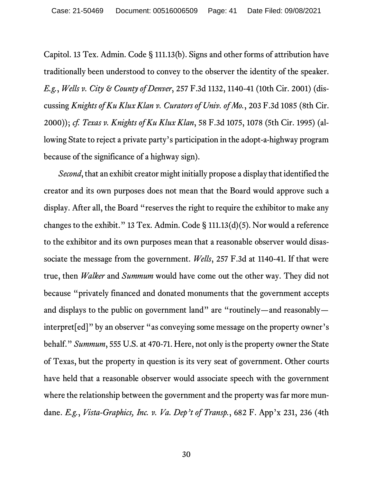Capitol. 13 Tex. Admin. Code § 111.13(b). Signs and other forms of attribution have traditionally been understood to convey to the observer the identity of the speaker. *E.g.*, *Wells v. City & County of Denver*, 257 F.3d 1132, 1140-41 (10th Cir. 2001) (discussing *Knights of Ku Klux Klan v. Curators of Univ. of Mo.*, 203 F.3d 1085 (8th Cir. 2000)); *cf. Texas v. Knights of Ku Klux Klan*, 58 F.3d 1075, 1078 (5th Cir. 1995) (allowing State to reject a private party's participation in the adopt-a-highway program because of the significance of a highway sign).

*Second*, that an exhibit creator might initially propose a display that identified the creator and its own purposes does not mean that the Board would approve such a display. After all, the Board "reserves the right to require the exhibitor to make any changes to the exhibit." 13 Tex. Admin. Code § 111.13(d)(5). Nor would a reference to the exhibitor and its own purposes mean that a reasonable observer would disassociate the message from the government. *Wells*, 257 F.3d at 1140-41. If that were true, then *Walker* and *Summum* would have come out the other way. They did not because "privately financed and donated monuments that the government accepts and displays to the public on government land" are "routinely—and reasonably interpret[ed]" by an observer "as conveying some message on the property owner's behalf." *Summum*, 555 U.S. at 470-71. Here, not only is the property owner the State of Texas, but the property in question is its very seat of government. Other courts have held that a reasonable observer would associate speech with the government where the relationship between the government and the property was far more mundane. *E.g.*, *Vista-Graphics, Inc. v. Va. Dep't of Transp.*, 682 F. App'x 231, 236 (4th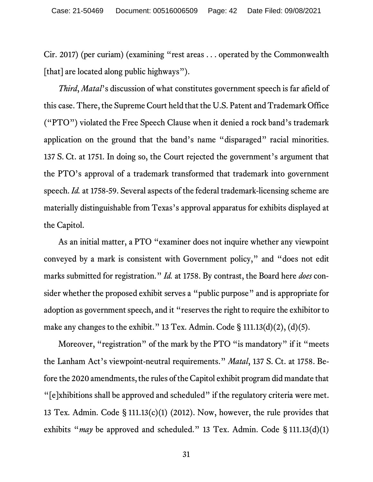Cir. 2017) (per curiam) (examining "rest areas . . . operated by the Commonwealth [that] are located along public highways").

*Third*, *Matal*'s discussion of what constitutes government speech is far afield of this case. There, the Supreme Court held that the U.S. Patent and Trademark Office ("PTO") violated the Free Speech Clause when it denied a rock band's trademark application on the ground that the band's name "disparaged" racial minorities. 137 S. Ct. at 1751. In doing so, the Court rejected the government's argument that the PTO's approval of a trademark transformed that trademark into government speech. *Id.* at 1758-59. Several aspects of the federal trademark-licensing scheme are materially distinguishable from Texas's approval apparatus for exhibits displayed at the Capitol.

As an initial matter, a PTO "examiner does not inquire whether any viewpoint conveyed by a mark is consistent with Government policy," and "does not edit marks submitted for registration." *Id.* at 1758. By contrast, the Board here *does* consider whether the proposed exhibit serves a "public purpose" and is appropriate for adoption as government speech, and it "reserves the right to require the exhibitor to make any changes to the exhibit." 13 Tex. Admin. Code § 111.13(d)(2), (d)(5).

Moreover, "registration" of the mark by the PTO "is mandatory" if it "meets" the Lanham Act's viewpoint-neutral requirements." *Matal*, 137 S. Ct. at 1758. Before the 2020 amendments, the rules of the Capitol exhibit program did mandate that "[e]xhibitions shall be approved and scheduled" if the regulatory criteria were met. 13 Tex. Admin. Code § 111.13(c)(1) (2012). Now, however, the rule provides that exhibits "*may* be approved and scheduled." 13 Tex. Admin. Code § 111.13(d)(1)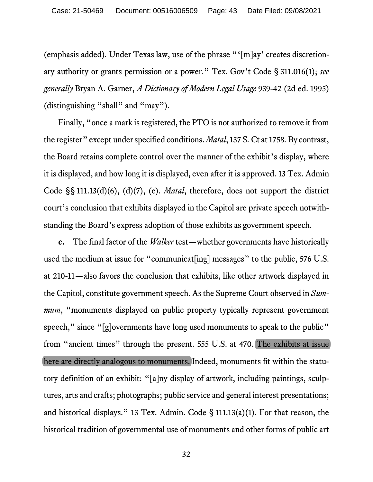(emphasis added). Under Texas law, use of the phrase "'[m]ay' creates discretionary authority or grants permission or a power." Tex. Gov't Code § 311.016(1); *see generally* Bryan A. Garner, *A Dictionary of Modern Legal Usage* 939-42 (2d ed. 1995) (distinguishing "shall" and "may").

Finally, "once a mark is registered, the PTO is not authorized to remove it from the register" except under specified conditions. *Matal*, 137 S. Ct at 1758*.* By contrast, the Board retains complete control over the manner of the exhibit's display, where it is displayed, and how long it is displayed, even after it is approved. 13 Tex. Admin Code §§ 111.13(d)(6), (d)(7), (e). *Matal*, therefore, does not support the district court's conclusion that exhibits displayed in the Capitol are private speech notwithstanding the Board's express adoption of those exhibits as government speech.

**c.** The final factor of the *Walker* test—whether governments have historically used the medium at issue for "communicat<sup>[ing]</sup> messages" to the public, 576 U.S. at 210-11—also favors the conclusion that exhibits, like other artwork displayed in the Capitol, constitute government speech. As the Supreme Court observed in *Summum*, "monuments displayed on public property typically represent government speech," since "[g]overnments have long used monuments to speak to the public" from "ancient times" through the present. 555 U.S. at 470. The exhibits at issue here are directly analogous to monuments. Indeed, monuments fit within the statutory definition of an exhibit: "[a]ny display of artwork, including paintings, sculptures, arts and crafts; photographs; public service and general interest presentations; and historical displays." 13 Tex. Admin. Code § 111.13(a)(1). For that reason, the historical tradition of governmental use of monuments and other forms of public art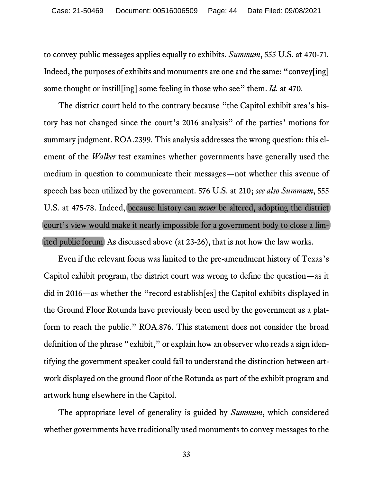to convey public messages applies equally to exhibits. *Summum*, 555 U.S. at 470-71. Indeed, the purposes of exhibits and monuments are one and the same: "convey[ing] some thought or instill[ing] some feeling in those who see" them. *Id.* at 470.

The district court held to the contrary because "the Capitol exhibit area's history has not changed since the court's 2016 analysis" of the parties' motions for summary judgment. ROA.2399. This analysis addresses the wrong question: this element of the *Walker* test examines whether governments have generally used the medium in question to communicate their messages—not whether this avenue of speech has been utilized by the government. 576 U.S. at 210; *see also Summum*, 555 U.S. at 475-78. Indeed, because history can *never* be altered, adopting the district court's view would make it nearly impossible for a government body to close a limited public forum. As discussed above (at 23-26), that is not how the law works.

Even if the relevant focus was limited to the pre-amendment history of Texas's Capitol exhibit program, the district court was wrong to define the question—as it did in 2016—as whether the "record establish[es] the Capitol exhibits displayed in the Ground Floor Rotunda have previously been used by the government as a platform to reach the public." ROA.876. This statement does not consider the broad definition of the phrase "exhibit," or explain how an observer who reads a sign identifying the government speaker could fail to understand the distinction between artwork displayed on the ground floor of the Rotunda as part of the exhibit program and artwork hung elsewhere in the Capitol.

The appropriate level of generality is guided by *Summum*, which considered whether governments have traditionally used monuments to convey messages to the

33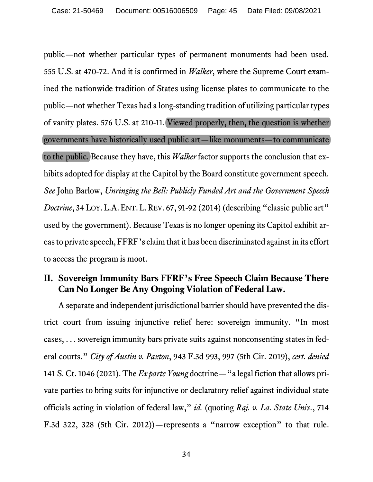public—not whether particular types of permanent monuments had been used. 555 U.S. at 470-72. And it is confirmed in *Walker*, where the Supreme Court examined the nationwide tradition of States using license plates to communicate to the public—not whether Texas had a long-standing tradition of utilizing particular types of vanity plates. 576 U.S. at 210-11. Viewed properly, then, the question is whether governments have historically used public art—like monuments—to communicate to the public. Because they have, this *Walker* factor supports the conclusion that exhibits adopted for display at the Capitol by the Board constitute government speech. *See* John Barlow, *Unringing the Bell: Publicly Funded Art and the Government Speech Doctrine*, 34 LOY. L.A. ENT. L. REV. 67, 91-92 (2014) (describing "classic public art" used by the government). Because Texas is no longer opening its Capitol exhibit areas to private speech, FFRF's claim that it has been discriminated against in its effort to access the program is moot.

# **II. Sovereign Immunity Bars FFRF's Free Speech Claim Because There Can No Longer Be Any Ongoing Violation of Federal Law.**

A separate and independent jurisdictional barrier should have prevented the district court from issuing injunctive relief here: sovereign immunity. "In most cases, . . . sovereign immunity bars private suits against nonconsenting states in federal courts." *City of Austin v. Paxton*, 943 F.3d 993, 997 (5th Cir. 2019), *cert. denied*  141 S. Ct. 1046 (2021). The *Ex parte Young* doctrine—"a legal fiction that allows private parties to bring suits for injunctive or declaratory relief against individual state officials acting in violation of federal law," *id.* (quoting *Raj. v. La. State Univ.*, 714 F.3d 322, 328 (5th Cir. 2012))—represents a "narrow exception" to that rule.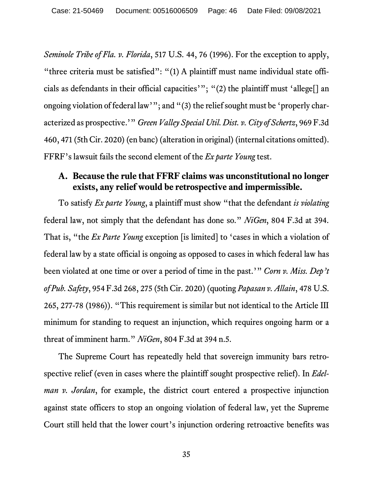*Seminole Tribe of Fla. v. Florida*, 517 U.S. 44, 76 (1996). For the exception to apply, "three criteria must be satisfied": "(1) A plaintiff must name individual state officials as defendants in their official capacities'"; "(2) the plaintiff must 'allege[] an ongoing violation of federal law'"; and "(3) the relief sought must be 'properly characterized as prospective.'" *Green Valley Special Util. Dist. v. City of Schertz*, 969 F.3d 460, 471 (5th Cir. 2020) (en banc) (alteration in original) (internal citations omitted). FFRF's lawsuit fails the second element of the *Ex parte Young* test.

### **A. Because the rule that FFRF claims was unconstitutional no longer exists, any relief would be retrospective and impermissible.**

To satisfy *Ex parte Young*, a plaintiff must show "that the defendant *is violating* federal law, not simply that the defendant has done so." *NiGen*, 804 F.3d at 394. That is, "the *Ex Parte Young* exception [is limited] to 'cases in which a violation of federal law by a state official is ongoing as opposed to cases in which federal law has been violated at one time or over a period of time in the past.'" *Corn v. Miss. Dep't of Pub. Safety*, 954 F.3d 268, 275 (5th Cir. 2020) (quoting *Papasan v. Allain*, 478 U.S. 265, 277-78 (1986)). "This requirement is similar but not identical to the Article III minimum for standing to request an injunction, which requires ongoing harm or a threat of imminent harm." *NiGen*, 804 F.3d at 394 n.5.

The Supreme Court has repeatedly held that sovereign immunity bars retrospective relief (even in cases where the plaintiff sought prospective relief). In *Edelman v. Jordan*, for example, the district court entered a prospective injunction against state officers to stop an ongoing violation of federal law, yet the Supreme Court still held that the lower court's injunction ordering retroactive benefits was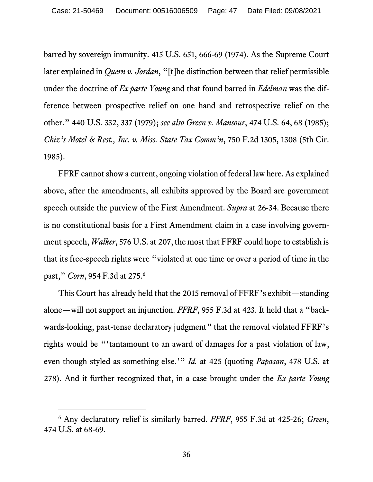barred by sovereign immunity. 415 U.S. 651, 666-69 (1974). As the Supreme Court later explained in *Quern v. Jordan*, "[t]he distinction between that relief permissible under the doctrine of *Ex parte Young* and that found barred in *Edelman* was the difference between prospective relief on one hand and retrospective relief on the other." 440 U.S. 332, 337 (1979); *see also Green v. Mansour*, 474 U.S. 64, 68 (1985); *Chiz's Motel & Rest., Inc. v. Miss. State Tax Comm'n*, 750 F.2d 1305, 1308 (5th Cir. 1985).

FFRF cannot show a current, ongoing violation of federal law here. As explained above, after the amendments, all exhibits approved by the Board are government speech outside the purview of the First Amendment. *Supra* at 26-34. Because there is no constitutional basis for a First Amendment claim in a case involving government speech, *Walker*, 576 U.S. at 207, the most that FFRF could hope to establish is that its free-speech rights were "violated at one time or over a period of time in the past," *Corn*, 954 F.3d at 275.[6](#page-46-0)

This Court has already held that the 2015 removal of FFRF's exhibit—standing alone—will not support an injunction. *FFRF*, 955 F.3d at 423. It held that a "backwards-looking, past-tense declaratory judgment" that the removal violated FFRF's rights would be "'tantamount to an award of damages for a past violation of law, even though styled as something else.'" *Id.* at 425 (quoting *Papasan*, 478 U.S. at 278). And it further recognized that, in a case brought under the *Ex parte Young* 

<span id="page-46-0"></span><sup>6</sup> Any declaratory relief is similarly barred. *FFRF*, 955 F.3d at 425-26; *Green*, 474 U.S. at 68-69.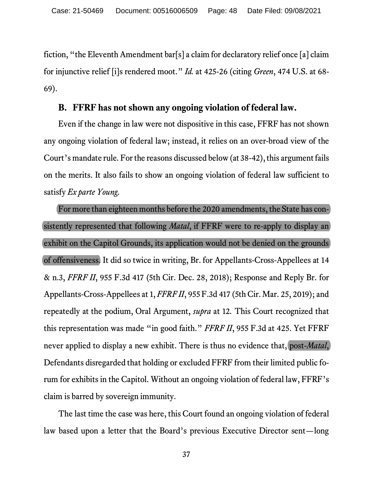fiction, "the Eleventh Amendment bar[s] a claim for declaratory relief once [a] claim for injunctive relief [i]s rendered moot." *Id.* at 425-26 (citing *Green*, 474 U.S. at 68- 69).

#### **B. FFRF has not shown any ongoing violation of federal law.**

Even if the change in law were not dispositive in this case, FFRF has not shown any ongoing violation of federal law; instead, it relies on an over-broad view of the Court's mandate rule. For the reasons discussed below (at 38-42), this argument fails on the merits. It also fails to show an ongoing violation of federal law sufficient to satisfy *Ex parte Young.* 

For more than eighteen months before the 2020 amendments, the State has consistently represented that following *Matal*, if FFRF were to re-apply to display an exhibit on the Capitol Grounds, its application would not be denied on the grounds of offensiveness. It did so twice in writing, Br. for Appellants-Cross-Appellees at 14 & n.3, *FFRF II*, 955 F.3d 417 (5th Cir. Dec. 28, 2018); Response and Reply Br. for Appellants-Cross-Appellees at 1, *FFRF II*, 955 F.3d 417 (5th Cir. Mar. 25, 2019); and repeatedly at the podium, Oral Argument, *supra* at 12*.* This Court recognized that this representation was made "in good faith." *FFRF II*, 955 F.3d at 425. Yet FFRF never applied to display a new exhibit. There is thus no evidence that, post-*Matal*, Defendants disregarded that holding or excluded FFRF from their limited public forum for exhibits in the Capitol. Without an ongoing violation of federal law, FFRF's claim is barred by sovereign immunity.

The last time the case was here, this Court found an ongoing violation of federal law based upon a letter that the Board's previous Executive Director sent—long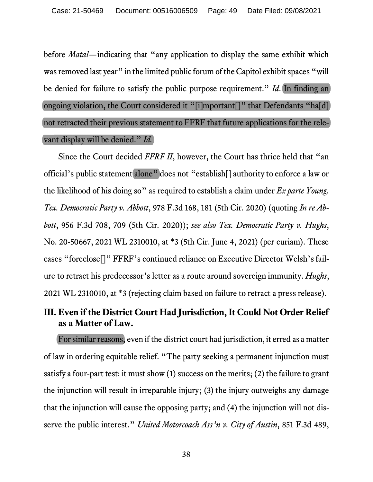before *Matal*—indicating that "any application to display the same exhibit which was removed last year" in the limited public forum of the Capitol exhibit spaces "will be denied for failure to satisfy the public purpose requirement." *Id*. In finding an ongoing violation, the Court considered it "[i]mportant[]" that Defendants "ha[d] not retracted their previous statement to FFRF that future applications for the relevant display will be denied." *Id.*

Since the Court decided *FFRF II*, however, the Court has thrice held that "an official's public statement alone" does not "establish[] authority to enforce a law or the likelihood of his doing so" as required to establish a claim under *Ex parte Young*. *Tex. Democratic Party v. Abbott*, 978 F.3d 168, 181 (5th Cir. 2020) (quoting *In re Abbott*, 956 F.3d 708, 709 (5th Cir. 2020)); *see also Tex. Democratic Party v. Hughs*, No. 20-50667, 2021 WL 2310010, at \*3 (5th Cir. June 4, 2021) (per curiam). These cases "foreclose[]" FFRF's continued reliance on Executive Director Welsh's failure to retract his predecessor's letter as a route around sovereign immunity. *Hughs*, 2021 WL 2310010, at \*3 (rejecting claim based on failure to retract a press release).

# **III. Even if the District Court Had Jurisdiction, It Could Not Order Relief as a Matter of Law.**

For similar reasons, even if the district court had jurisdiction, it erred as a matter of law in ordering equitable relief. "The party seeking a permanent injunction must satisfy a four-part test: it must show (1) success on the merits; (2) the failure to grant the injunction will result in irreparable injury; (3) the injury outweighs any damage that the injunction will cause the opposing party; and (4) the injunction will not disserve the public interest." *United Motorcoach Ass'n v. City of Austin*, 851 F.3d 489,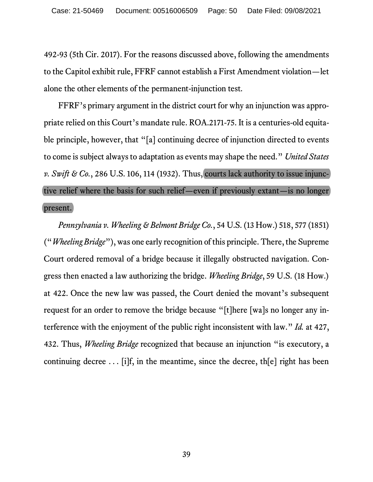492-93 (5th Cir. 2017). For the reasons discussed above, following the amendments to the Capitol exhibit rule, FFRF cannot establish a First Amendment violation—let alone the other elements of the permanent-injunction test.

FFRF's primary argument in the district court for why an injunction was appropriate relied on this Court's mandate rule. ROA.2171-75. It is a centuries-old equitable principle, however, that "[a] continuing decree of injunction directed to events to come is subject always to adaptation as events may shape the need." *United States v. Swift & Co.*, 286 U.S. 106, 114 (1932). Thus, courts lack authority to issue injunctive relief where the basis for such relief—even if previously extant—is no longer present.

*Pennsylvania v. Wheeling & Belmont Bridge Co.*, 54 U.S. (13 How.) 518, 577 (1851) ("*Wheeling Bridge*"), was one early recognition of this principle. There, the Supreme Court ordered removal of a bridge because it illegally obstructed navigation. Congress then enacted a law authorizing the bridge. *Wheeling Bridge*, 59 U.S. (18 How.) at 422. Once the new law was passed, the Court denied the movant's subsequent request for an order to remove the bridge because "[t]here [wa]s no longer any interference with the enjoyment of the public right inconsistent with law." *Id.* at 427, 432. Thus, *Wheeling Bridge* recognized that because an injunction "is executory, a continuing decree . . . [i]f, in the meantime, since the decree, th[e] right has been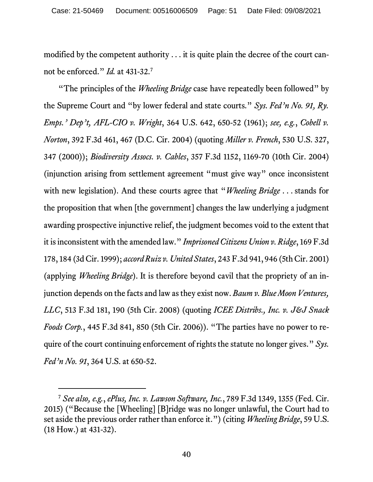modified by the competent authority . . . it is quite plain the decree of the court cannot be enforced." *Id.* at 431-32.[7](#page-50-0)

"The principles of the *Wheeling Bridge* case have repeatedly been followed" by the Supreme Court and "by lower federal and state courts." *Sys. Fed'n No. 91, Ry. Emps.' Dep't, AFL-CIO v. Wright*, 364 U.S. 642, 650-52 (1961); *see, e.g.*, *Cobell v. Norton*, 392 F.3d 461, 467 (D.C. Cir. 2004) (quoting *Miller v. French*, 530 U.S. 327, 347 (2000)); *Biodiversity Assocs. v. Cables*, 357 F.3d 1152, 1169-70 (10th Cir. 2004) (injunction arising from settlement agreement "must give way" once inconsistent with new legislation). And these courts agree that "*Wheeling Bridge* . . . stands for the proposition that when [the government] changes the law underlying a judgment awarding prospective injunctive relief, the judgment becomes void to the extent that it is inconsistent with the amended law." *Imprisoned Citizens Union v. Ridge*, 169 F.3d 178, 184 (3d Cir. 1999); *accord Ruiz v. United States*, 243 F.3d 941, 946 (5th Cir. 2001) (applying *Wheeling Bridge*). It is therefore beyond cavil that the propriety of an injunction depends on the facts and law as they exist now. *Baum v. Blue Moon Ventures, LLC*, 513 F.3d 181, 190 (5th Cir. 2008) (quoting *ICEE Distribs., Inc. v. J&J Snack Foods Corp.*, 445 F.3d 841, 850 (5th Cir. 2006)). "The parties have no power to require of the court continuing enforcement of rights the statute no longer gives." *Sys. Fed'n No. 91*, 364 U.S. at 650-52.

<span id="page-50-0"></span><sup>7</sup> *See also, e.g.*, *ePlus, Inc. v. Lawson Software, Inc.*, 789 F.3d 1349, 1355 (Fed. Cir. 2015) ("Because the [Wheeling] [B]ridge was no longer unlawful, the Court had to set aside the previous order rather than enforce it.") (citing *Wheeling Bridge*, 59 U.S. (18 How.) at 431-32).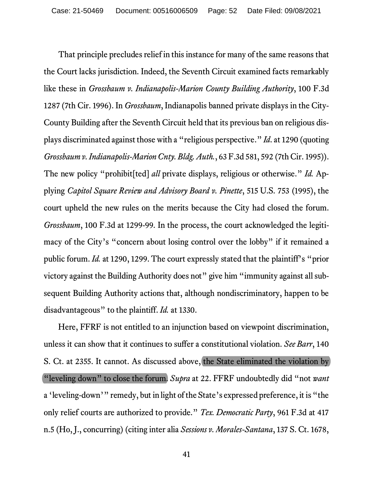That principle precludes relief in this instance for many of the same reasons that the Court lacks jurisdiction. Indeed, the Seventh Circuit examined facts remarkably like these in *Grossbaum v. Indianapolis-Marion County Building Authority*, 100 F.3d 1287 (7th Cir. 1996). In *Grossbaum*, Indianapolis banned private displays in the City-County Building after the Seventh Circuit held that its previous ban on religious displays discriminated against those with a "religious perspective." *Id*. at 1290 (quoting *Grossbaum v. Indianapolis-Marion Cnty. Bldg.Auth.*, 63 F.3d 581, 592 (7th Cir. 1995)). The new policy "prohibit[ted] *all* private displays, religious or otherwise." *Id.* Applying *Capitol Square Review and Advisory Board v. Pinette*, 515 U.S. 753 (1995), the court upheld the new rules on the merits because the City had closed the forum. *Grossbaum*, 100 F.3d at 1299-99. In the process, the court acknowledged the legitimacy of the City's "concern about losing control over the lobby" if it remained a public forum. *Id.* at 1290, 1299. The court expressly stated that the plaintiff's "prior victory against the Building Authority does not" give him "immunity against all subsequent Building Authority actions that, although nondiscriminatory, happen to be disadvantageous" to the plaintiff. *Id.* at 1330.

Here, FFRF is not entitled to an injunction based on viewpoint discrimination, unless it can show that it continues to suffer a constitutional violation. *See Barr*, 140 S. Ct. at 2355. It cannot. As discussed above, the State eliminated the violation by "leveling down" to close the forum. *Supra* at 22. FFRF undoubtedly did "not *want*  a 'leveling-down'" remedy, but in light of the State's expressed preference, it is "the only relief courts are authorized to provide." *Tex. Democratic Party*, 961 F.3d at 417 n.5 (Ho, J., concurring) (citing inter alia *Sessions v. Morales-Santana*, 137 S. Ct. 1678,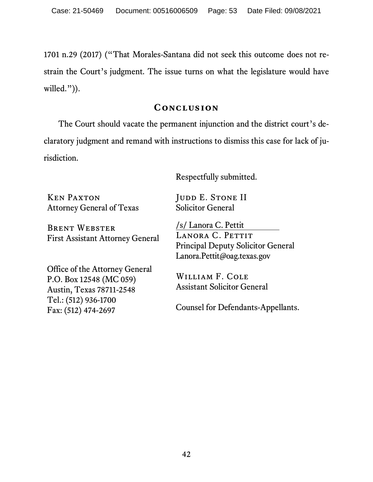1701 n.29 (2017) ("That Morales-Santana did not seek this outcome does not restrain the Court's judgment. The issue turns on what the legislature would have willed.")).

#### **Conclusion**

The Court should vacate the permanent injunction and the district court's declaratory judgment and remand with instructions to dismiss this case for lack of jurisdiction.

Respectfully submitted.

Ken Paxton Attorney General of Texas JUDD E. STONE II Solicitor General

Brent Webster First Assistant Attorney General /s/ Lanora C. Pettit LANORA C. PETTIT Principal Deputy Solicitor General Lanora.Pettit@oag.texas.gov

Office of the Attorney General P.O. Box 12548 (MC 059) Austin, Texas 78711-2548 Tel.: (512) 936-1700 Fax: (512) 474-2697

William F. Cole Assistant Solicitor General

Counsel for Defendants-Appellants.